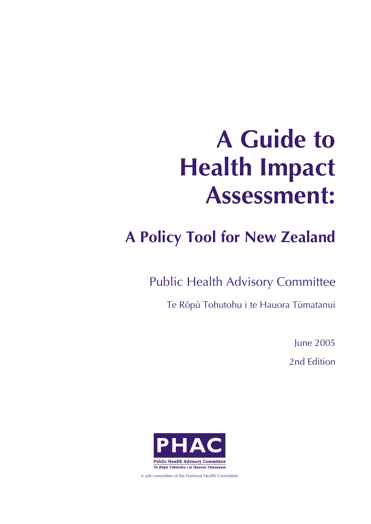## **A Guide to Health Impact Assessment:**

## **A Policy Tool for New Zealand**

Public Health Advisory Committee

Te Röpü Tohutohu i te Hauora Tümatanui

June 2005

2nd Edition



A sub-committee of the National Health Committee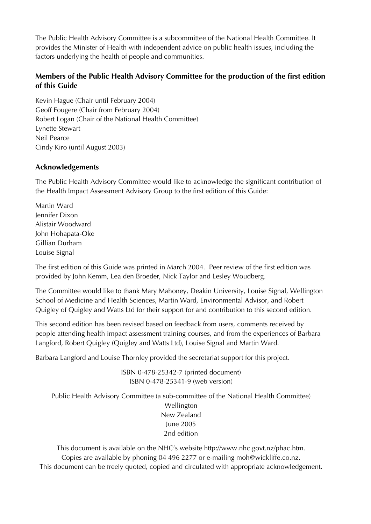The Public Health Advisory Committee is a subcommittee of the National Health Committee. It provides the Minister of Health with independent advice on public health issues, including the factors underlying the health of people and communities.

#### **Members of the Public Health Advisory Committee for the production of the first edition of this Guide**

Kevin Hague (Chair until February 2004) Geoff Fougere (Chair from February 2004) Robert Logan (Chair of the National Health Committee) Lynette Stewart Neil Pearce Cindy Kiro (until August 2003)

#### **Acknowledgements**

The Public Health Advisory Committee would like to acknowledge the significant contribution of the Health Impact Assessment Advisory Group to the first edition of this Guide:

Martin Ward Jennifer Dixon Alistair Woodward John Hohapata-Oke Gillian Durham Louise Signal

The first edition of this Guide was printed in March 2004. Peer review of the first edition was provided by John Kemm, Lea den Broeder, Nick Taylor and Lesley Woudberg.

The Committee would like to thank Mary Mahoney, Deakin University, Louise Signal, Wellington School of Medicine and Health Sciences, Martin Ward, Environmental Advisor, and Robert Quigley of Quigley and Watts Ltd for their support for and contribution to this second edition.

This second edition has been revised based on feedback from users, comments received by people attending health impact assessment training courses, and from the experiences of Barbara Langford, Robert Quigley (Quigley and Watts Ltd), Louise Signal and Martin Ward.

Barbara Langford and Louise Thornley provided the secretariat support for this project.

ISBN 0-478-25342-7 (printed document) ISBN 0-478-25341-9 (web version)

Public Health Advisory Committee (a sub-committee of the National Health Committee) Wellington New Zealand June 2005 2nd edition

This document is available on the NHC's website http://www.nhc.govt.nz/phac.htm. Copies are available by phoning 04 496 2277 or e-mailing moh@wickliffe.co.nz. This document can be freely quoted, copied and circulated with appropriate acknowledgement.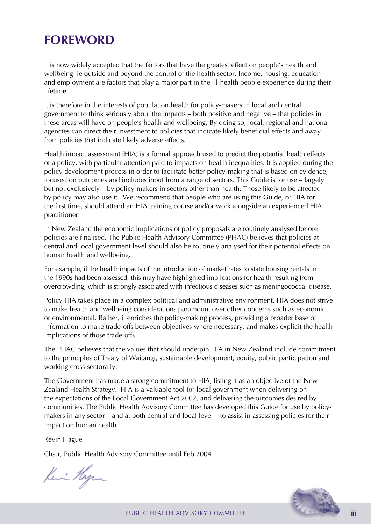### **FOREWORD**

It is now widely accepted that the factors that have the greatest effect on people's health and wellbeing lie outside and beyond the control of the health sector. Income, housing, education and employment are factors that play a major part in the ill-health people experience during their lifetime.

It is therefore in the interests of population health for policy-makers in local and central government to think seriously about the impacts – both positive and negative – that policies in these areas will have on people's health and wellbeing. By doing so, local, regional and national agencies can direct their investment to policies that indicate likely beneficial effects and away from policies that indicate likely adverse effects.

Health impact assessment (HIA) is a formal approach used to predict the potential health effects of a policy, with particular attention paid to impacts on health inequalities. It is applied during the policy development process in order to facilitate better policy-making that is based on evidence, focused on outcomes and includes input from a range of sectors. This Guide is for use – largely but not exclusively – by policy-makers in sectors other than health. Those likely to be affected by policy may also use it. We recommend that people who are using this Guide, or HIA for the first time, should attend an HIA training course and/or work alongside an experienced HIA practitioner.

In New Zealand the economic implications of policy proposals are routinely analysed before policies are finalised. The Public Health Advisory Committee (PHAC) believes that policies at central and local government level should also be routinely analysed for their potential effects on human health and wellbeing.

For example, if the health impacts of the introduction of market rates to state housing rentals in the 1990s had been assessed, this may have highlighted implications for health resulting from overcrowding, which is strongly associated with infectious diseases such as meningococcal disease.

Policy HIA takes place in a complex political and administrative environment. HIA does not strive to make health and wellbeing considerations paramount over other concerns such as economic or environmental. Rather, it enriches the policy-making process, providing a broader base of information to make trade-offs between objectives where necessary, and makes explicit the health implications of those trade-offs.

The PHAC believes that the values that should underpin HIA in New Zealand include commitment to the principles of Treaty of Waitangi, sustainable development, equity, public participation and working cross-sectorally.

The Government has made a strong commitment to HIA, listing it as an objective of the New Zealand Health Strategy. HIA is a valuable tool for local government when delivering on the expectations of the Local Government Act 2002, and delivering the outcomes desired by communities. The Public Health Advisory Committee has developed this Guide for use by policymakers in any sector – and at both central and local level – to assist in assessing policies for their impact on human health.

Kevin Hague

Chair, Public Health Advisory Committee until Feb 2004

Kein's Hogen

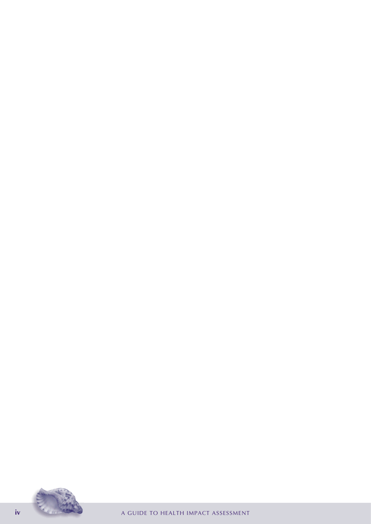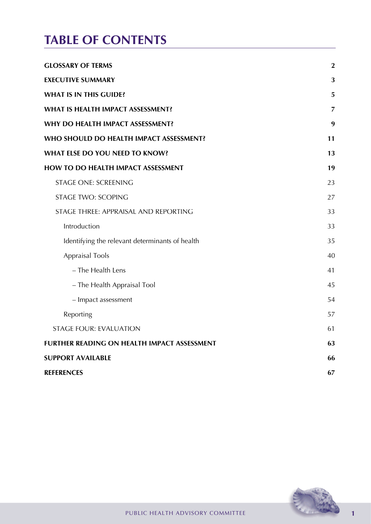## **TABLE OF CONTENTS**

| <b>GLOSSARY OF TERMS</b>                           | $\mathbf{2}$ |
|----------------------------------------------------|--------------|
| <b>EXECUTIVE SUMMARY</b>                           | 3            |
| <b>WHAT IS IN THIS GUIDE?</b>                      | 5            |
| <b>WHAT IS HEALTH IMPACT ASSESSMENT?</b>           | 7            |
| WHY DO HEALTH IMPACT ASSESSMENT?                   | 9            |
| WHO SHOULD DO HEALTH IMPACT ASSESSMENT?            | 11           |
| <b>WHAT ELSE DO YOU NEED TO KNOW?</b>              | 13           |
| HOW TO DO HEALTH IMPACT ASSESSMENT                 | 19           |
| <b>STAGE ONE: SCREENING</b>                        | 23           |
| <b>STAGE TWO: SCOPING</b>                          | 27           |
| STAGE THREE: APPRAISAL AND REPORTING               | 33           |
| Introduction                                       | 33           |
| Identifying the relevant determinants of health    | 35           |
| <b>Appraisal Tools</b>                             | 40           |
| - The Health Lens                                  | 41           |
| - The Health Appraisal Tool                        | 45           |
| - Impact assessment                                | 54           |
| Reporting                                          | 57           |
| <b>STAGE FOUR: EVALUATION</b>                      | 61           |
| <b>FURTHER READING ON HEALTH IMPACT ASSESSMENT</b> | 63           |
| <b>SUPPORT AVAILABLE</b>                           | 66           |
| <b>REFERENCES</b>                                  | 67           |

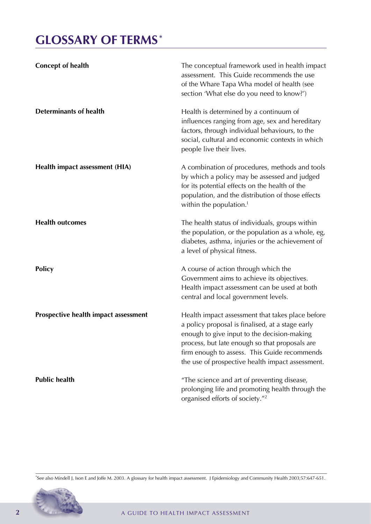## **GLOSSARY OF TERMS\***

| <b>Concept of health</b>                    | The conceptual framework used in health impact<br>assessment. This Guide recommends the use<br>of the Whare Tapa Wha model of health (see<br>section 'What else do you need to know?')                                                                                                                    |
|---------------------------------------------|-----------------------------------------------------------------------------------------------------------------------------------------------------------------------------------------------------------------------------------------------------------------------------------------------------------|
| <b>Determinants of health</b>               | Health is determined by a continuum of<br>influences ranging from age, sex and hereditary<br>factors, through individual behaviours, to the<br>social, cultural and economic contexts in which<br>people live their lives.                                                                                |
| <b>Health impact assessment (HIA)</b>       | A combination of procedures, methods and tools<br>by which a policy may be assessed and judged<br>for its potential effects on the health of the<br>population, and the distribution of those effects<br>within the population. <sup>1</sup>                                                              |
| <b>Health outcomes</b>                      | The health status of individuals, groups within<br>the population, or the population as a whole, eg,<br>diabetes, asthma, injuries or the achievement of<br>a level of physical fitness.                                                                                                                  |
| <b>Policy</b>                               | A course of action through which the<br>Government aims to achieve its objectives.<br>Health impact assessment can be used at both<br>central and local government levels.                                                                                                                                |
| <b>Prospective health impact assessment</b> | Health impact assessment that takes place before<br>a policy proposal is finalised, at a stage early<br>enough to give input to the decision-making<br>process, but late enough so that proposals are<br>firm enough to assess. This Guide recommends<br>the use of prospective health impact assessment. |
| <b>Public health</b>                        | "The science and art of preventing disease,<br>prolonging life and promoting health through the<br>organised efforts of society." <sup>2</sup>                                                                                                                                                            |

\* See also Mindell J, Ison E and Joffe M. 2003. A glossary for health impact assessment. J Epidemiology and Community Health 2003;57:647-651.

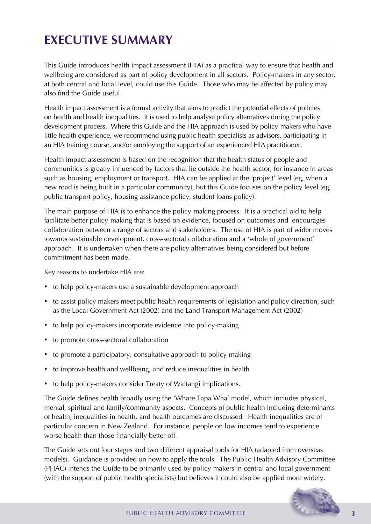## **EXECUTIVE SUMMARY**

This Guide introduces health impact assessment (HIA) as a practical way to ensure that health and wellbeing are considered as part of policy development in all sectors. Policy-makers in any sector, at both central and local level, could use this Guide. Those who may be affected by policy may also find the Guide useful.

Health impact assessment is a formal activity that aims to predict the potential effects of policies on health and health inequalities. It is used to help analyse policy alternatives during the policy development process. Where this Guide and the HIA approach is used by policy-makers who have little health experience, we recommend using public health specialists as advisors, participating in an HIA training course, and/or employing the support of an experienced HIA practitioner.

Health impact assessment is based on the recognition that the health status of people and communities is greatly influenced by factors that lie outside the health sector, for instance in areas such as housing, employment or transport. HIA can be applied at the 'project' level (eg, when a new road is being built in a particular community), but this Guide focuses on the policy level (eg, public transport policy, housing assistance policy, student loans policy).

The main purpose of HIA is to enhance the policy-making process. It is a practical aid to help facilitate better policy-making that is based on evidence, focused on outcomes and encourages collaboration between a range of sectors and stakeholders. The use of HIA is part of wider moves towards sustainable development, cross-sectoral collaboration and a 'whole of government' approach. It is undertaken when there are policy alternatives being considered but before commitment has been made.

Key reasons to undertake HIA are:

- to help policy-makers use a sustainable development approach
- to assist policy makers meet public health requirements of legislation and policy direction, such as the Local Government Act (2002) and the Land Transport Management Act (2002)
- to help policy-makers incorporate evidence into policy-making
- to promote cross-sectoral collaboration
- to promote a participatory, consultative approach to policy-making
- to improve health and wellbeing, and reduce inequalities in health
- to help policy-makers consider Treaty of Waitangi implications.

The Guide defines health broadly using the 'Whare Tapa Wha' model, which includes physical, mental, spiritual and family/community aspects. Concepts of public health including determinants of health, inequalities in health, and health outcomes are discussed. Health inequalities are of particular concern in New Zealand. For instance, people on low incomes tend to experience worse health than those financially better off.

The Guide sets out four stages and two different appraisal tools for HIA (adapted from overseas models). Guidance is provided on how to apply the tools. The Public Health Advisory Committee (PHAC) intends the Guide to be primarily used by policy-makers in central and local government (with the support of public health specialists) but believes it could also be applied more widely.

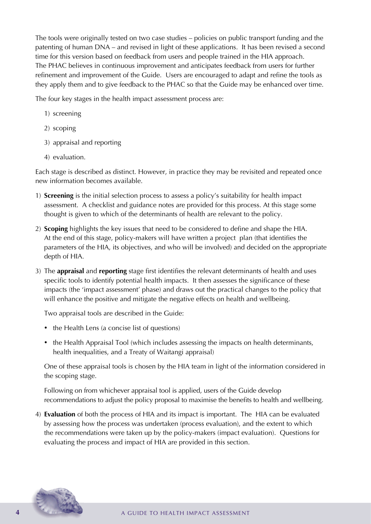The tools were originally tested on two case studies – policies on public transport funding and the patenting of human DNA – and revised in light of these applications. It has been revised a second time for this version based on feedback from users and people trained in the HIA approach. The PHAC believes in continuous improvement and anticipates feedback from users for further refinement and improvement of the Guide. Users are encouraged to adapt and refine the tools as they apply them and to give feedback to the PHAC so that the Guide may be enhanced over time.

The four key stages in the health impact assessment process are:

- 1) screening
- 2) scoping
- 3) appraisal and reporting
- 4) evaluation.

Each stage is described as distinct. However, in practice they may be revisited and repeated once new information becomes available.

- 1) **Screening** is the initial selection process to assess a policy's suitability for health impact assessment. A checklist and guidance notes are provided for this process. At this stage some thought is given to which of the determinants of health are relevant to the policy.
- 2) **Scoping** highlights the key issues that need to be considered to define and shape the HIA. At the end of this stage, policy-makers will have written a project plan (that identifies the parameters of the HIA, its objectives, and who will be involved) and decided on the appropriate depth of HIA.
- 3) The **appraisal** and **reporting** stage first identifies the relevant determinants of health and uses specific tools to identify potential health impacts. It then assesses the significance of these impacts (the 'impact assessment' phase) and draws out the practical changes to the policy that will enhance the positive and mitigate the negative effects on health and wellbeing.

Two appraisal tools are described in the Guide:

- the Health Lens (a concise list of questions)
- the Health Appraisal Tool (which includes assessing the impacts on health determinants, health inequalities, and a Treaty of Waitangi appraisal)

 One of these appraisal tools is chosen by the HIA team in light of the information considered in the scoping stage.

 Following on from whichever appraisal tool is applied, users of the Guide develop recommendations to adjust the policy proposal to maximise the benefits to health and wellbeing.

4) **Evaluation** of both the process of HIA and its impact is important. The HIA can be evaluated by assessing how the process was undertaken (process evaluation), and the extent to which the recommendations were taken up by the policy-makers (impact evaluation). Questions for evaluating the process and impact of HIA are provided in this section.

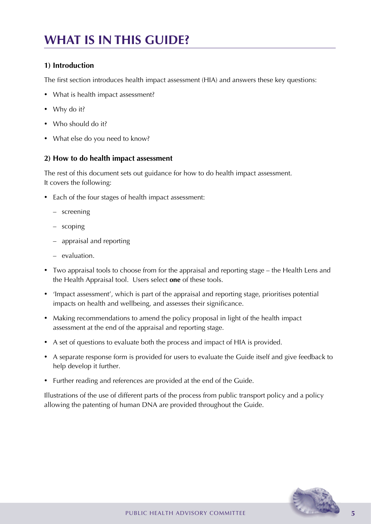## **WHAT IS IN THIS GUIDE?**

#### **1) Introduction**

The first section introduces health impact assessment (HIA) and answers these key questions:

- What is health impact assessment?
- Why do it?
- Who should do it?
- What else do you need to know?

#### **2) How to do health impact assessment**

The rest of this document sets out guidance for how to do health impact assessment. It covers the following:

- Each of the four stages of health impact assessment:
	- screening
	- scoping
	- appraisal and reporting
	- evaluation.
- Two appraisal tools to choose from for the appraisal and reporting stage the Health Lens and the Health Appraisal tool. Users select **one** of these tools.
- 'Impact assessment', which is part of the appraisal and reporting stage, prioritises potential impacts on health and wellbeing, and assesses their significance.
- Making recommendations to amend the policy proposal in light of the health impact assessment at the end of the appraisal and reporting stage.
- A set of questions to evaluate both the process and impact of HIA is provided.
- A separate response form is provided for users to evaluate the Guide itself and give feedback to help develop it further.
- Further reading and references are provided at the end of the Guide.

Illustrations of the use of different parts of the process from public transport policy and a policy allowing the patenting of human DNA are provided throughout the Guide.

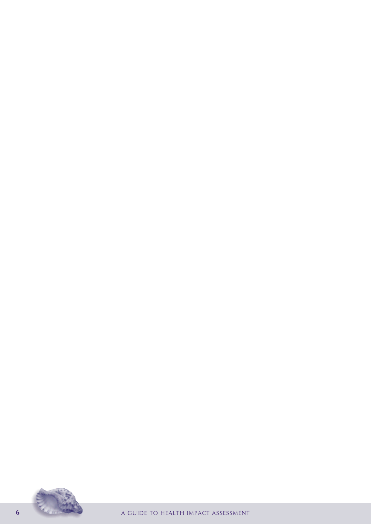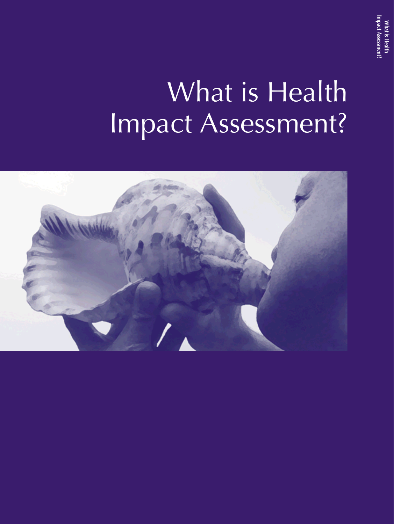## What is Health Impact Assessment?

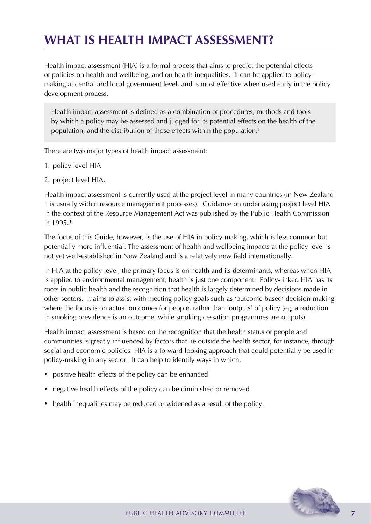## **WHAT IS HEALTH IMPACT ASSESSMENT?**

Health impact assessment (HIA) is a formal process that aims to predict the potential effects of policies on health and wellbeing, and on health inequalities. It can be applied to policymaking at central and local government level, and is most effective when used early in the policy development process.

Health impact assessment is defined as a combination of procedures, methods and tools by which a policy may be assessed and judged for its potential effects on the health of the population, and the distribution of those effects within the population.1

There are two major types of health impact assessment:

- 1. policy level HIA
- 2. project level HIA.

Health impact assessment is currently used at the project level in many countries (in New Zealand it is usually within resource management processes). Guidance on undertaking project level HIA in the context of the Resource Management Act was published by the Public Health Commission in 1995.3

The focus of this Guide, however, is the use of HIA in policy-making, which is less common but potentially more influential. The assessment of health and wellbeing impacts at the policy level is not yet well-established in New Zealand and is a relatively new field internationally.

In HIA at the policy level, the primary focus is on health and its determinants, whereas when HIA is applied to environmental management, health is just one component. Policy-linked HIA has its roots in public health and the recognition that health is largely determined by decisions made in other sectors. It aims to assist with meeting policy goals such as 'outcome-based' decision-making where the focus is on actual outcomes for people, rather than 'outputs' of policy (eg, a reduction in smoking prevalence is an outcome, while smoking cessation programmes are outputs).

Health impact assessment is based on the recognition that the health status of people and communities is greatly influenced by factors that lie outside the health sector, for instance, through social and economic policies. HIA is a forward-looking approach that could potentially be used in policy-making in any sector. It can help to identify ways in which:

- positive health effects of the policy can be enhanced
- negative health effects of the policy can be diminished or removed
- health inequalities may be reduced or widened as a result of the policy.

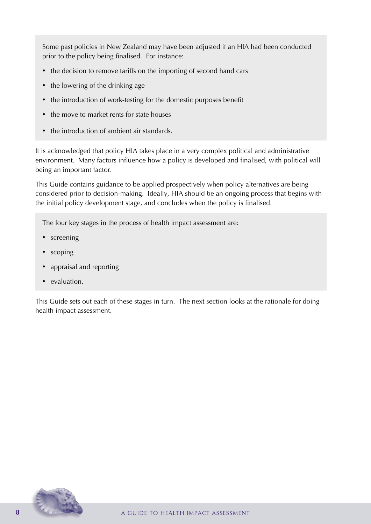Some past policies in New Zealand may have been adjusted if an HIA had been conducted prior to the policy being finalised. For instance:

- the decision to remove tariffs on the importing of second hand cars
- the lowering of the drinking age
- the introduction of work-testing for the domestic purposes benefit
- the move to market rents for state houses
- the introduction of ambient air standards.

It is acknowledged that policy HIA takes place in a very complex political and administrative environment. Many factors influence how a policy is developed and finalised, with political will being an important factor.

This Guide contains guidance to be applied prospectively when policy alternatives are being considered prior to decision-making. Ideally, HIA should be an ongoing process that begins with the initial policy development stage, and concludes when the policy is finalised.

The four key stages in the process of health impact assessment are:

- screening
- scoping
- appraisal and reporting
- evaluation.

This Guide sets out each of these stages in turn. The next section looks at the rationale for doing health impact assessment.

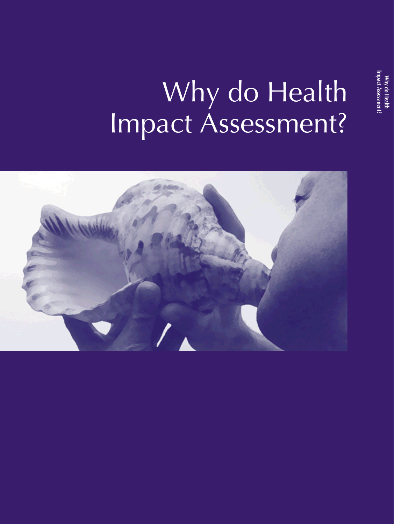## Why do Health Impact Assessment?

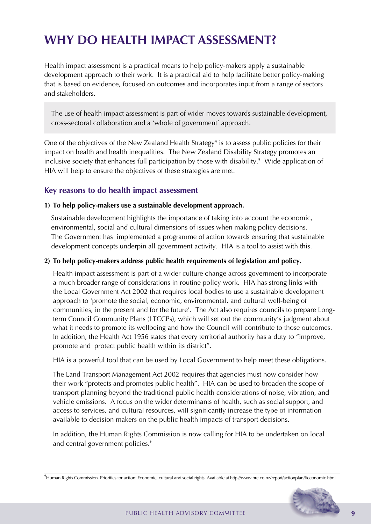## **WHY DO HEALTH IMPACT ASSESSMENT?**

Health impact assessment is a practical means to help policy-makers apply a sustainable development approach to their work. It is a practical aid to help facilitate better policy-making that is based on evidence, focused on outcomes and incorporates input from a range of sectors and stakeholders.

The use of health impact assessment is part of wider moves towards sustainable development, cross-sectoral collaboration and a 'whole of government' approach.

One of the objectives of the New Zealand Health Strategy<sup>4</sup> is to assess public policies for their impact on health and health inequalities. The New Zealand Disability Strategy promotes an inclusive society that enhances full participation by those with disability.<sup>5</sup> Wide application of HIA will help to ensure the objectives of these strategies are met.

#### **Key reasons to do health impact assessment**

#### **1) To help policy-makers use a sustainable development approach.**

Sustainable development highlights the importance of taking into account the economic, environmental, social and cultural dimensions of issues when making policy decisions. The Government has implemented a programme of action towards ensuring that sustainable development concepts underpin all government activity. HIA is a tool to assist with this.

#### **2) To help policy-makers address public health requirements of legislation and policy.**

Health impact assessment is part of a wider culture change across government to incorporate a much broader range of considerations in routine policy work. HIA has strong links with the Local Government Act 2002 that requires local bodies to use a sustainable development approach to 'promote the social, economic, environmental, and cultural well-being of communities, in the present and for the future'. The Act also requires councils to prepare Longterm Council Community Plans (LTCCPs), which will set out the community's judgment about what it needs to promote its wellbeing and how the Council will contribute to those outcomes. In addition, the Health Act 1956 states that every territorial authority has a duty to "improve, promote and protect public health within its district".

HIA is a powerful tool that can be used by Local Government to help meet these obligations.

 The Land Transport Management Act 2002 requires that agencies must now consider how their work "protects and promotes public health". HIA can be used to broaden the scope of transport planning beyond the traditional public health considerations of noise, vibration, and vehicle emissions. A focus on the wider determinants of health, such as social support, and access to services, and cultural resources, will significantly increase the type of information available to decision makers on the public health impacts of transport decisions.

 In addition, the Human Rights Commission is now calling for HIA to be undertaken on local and central government policies.†

† Human Rights Commission. Priorities for action: Economic, cultural and social rights. Available at http://www.hrc.co.nz/report/actionplan/6economic.html

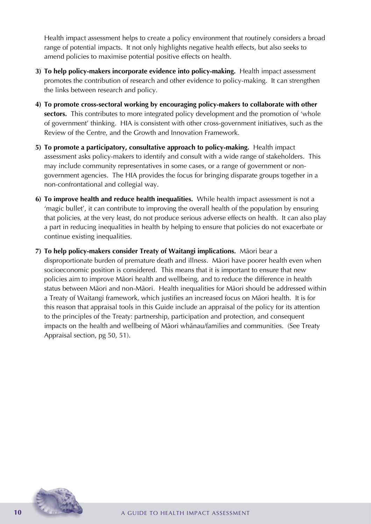Health impact assessment helps to create a policy environment that routinely considers a broad range of potential impacts. It not only highlights negative health effects, but also seeks to amend policies to maximise potential positive effects on health.

- **3) To help policy-makers incorporate evidence into policy-making.** Health impact assessment promotes the contribution of research and other evidence to policy-making. It can strengthen the links between research and policy.
- **4) To promote cross-sectoral working by encouraging policy-makers to collaborate with other sectors.** This contributes to more integrated policy development and the promotion of 'whole of government' thinking. HIA is consistent with other cross-government initiatives, such as the Review of the Centre, and the Growth and Innovation Framework.
- **5) To promote a participatory, consultative approach to policy-making.** Health impact assessment asks policy-makers to identify and consult with a wide range of stakeholders. This may include community representatives in some cases, or a range of government or nongovernment agencies. The HIA provides the focus for bringing disparate groups together in a non-confrontational and collegial way.
- **6) To improve health and reduce health inequalities.** While health impact assessment is not a 'magic bullet', it can contribute to improving the overall health of the population by ensuring that policies, at the very least, do not produce serious adverse effects on health. It can also play a part in reducing inequalities in health by helping to ensure that policies do not exacerbate or continue existing inequalities.
- **7) To help policy-makers consider Treaty of Waitangi implications.** Mäori bear a disproportionate burden of premature death and illness. Mäori have poorer health even when socioeconomic position is considered. This means that it is important to ensure that new policies aim to improve Mäori health and wellbeing, and to reduce the difference in health status between Mäori and non-Mäori. Health inequalities for Mäori should be addressed within a Treaty of Waitangi framework, which justifies an increased focus on Māori health. It is for this reason that appraisal tools in this Guide include an appraisal of the policy for its attention to the principles of the Treaty: partnership, participation and protection, and consequent impacts on the health and wellbeing of Mäori whänau/families and communities. (See Treaty Appraisal section, pg 50, 51).

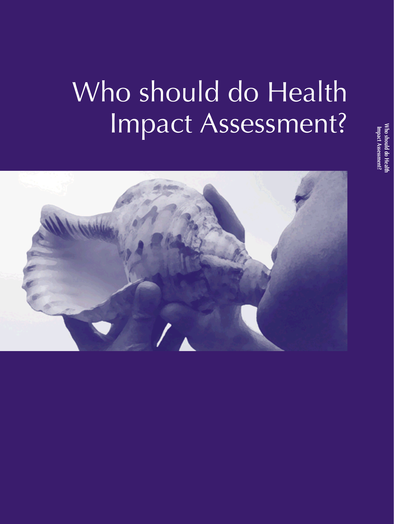## Who should do Health Impact Assessment?

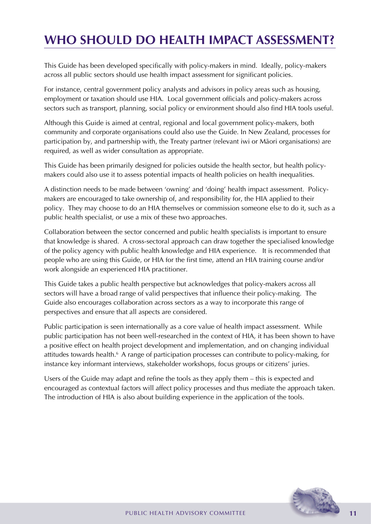## **WHO SHOULD DO HEALTH IMPACT ASSESSMENT?**

This Guide has been developed specifically with policy-makers in mind. Ideally, policy-makers across all public sectors should use health impact assessment for significant policies.

For instance, central government policy analysts and advisors in policy areas such as housing, employment or taxation should use HIA. Local government officials and policy-makers across sectors such as transport, planning, social policy or environment should also find HIA tools useful.

Although this Guide is aimed at central, regional and local government policy-makers, both community and corporate organisations could also use the Guide. In New Zealand, processes for participation by, and partnership with, the Treaty partner (relevant iwi or Mäori organisations) are required, as well as wider consultation as appropriate.

This Guide has been primarily designed for policies outside the health sector, but health policymakers could also use it to assess potential impacts of health policies on health inequalities.

A distinction needs to be made between 'owning' and 'doing' health impact assessment. Policymakers are encouraged to take ownership of, and responsibility for, the HIA applied to their policy. They may choose to do an HIA themselves or commission someone else to do it, such as a public health specialist, or use a mix of these two approaches.

Collaboration between the sector concerned and public health specialists is important to ensure that knowledge is shared. A cross-sectoral approach can draw together the specialised knowledge of the policy agency with public health knowledge and HIA experience. It is recommended that people who are using this Guide, or HIA for the first time, attend an HIA training course and/or work alongside an experienced HIA practitioner.

This Guide takes a public health perspective but acknowledges that policy-makers across all sectors will have a broad range of valid perspectives that influence their policy-making. The Guide also encourages collaboration across sectors as a way to incorporate this range of perspectives and ensure that all aspects are considered.

Public participation is seen internationally as a core value of health impact assessment. While public participation has not been well-researched in the context of HIA, it has been shown to have a positive effect on health project development and implementation, and on changing individual attitudes towards health.<sup>6</sup> A range of participation processes can contribute to policy-making, for instance key informant interviews, stakeholder workshops, focus groups or citizens' juries.

Users of the Guide may adapt and refine the tools as they apply them – this is expected and encouraged as contextual factors will affect policy processes and thus mediate the approach taken. The introduction of HIA is also about building experience in the application of the tools.

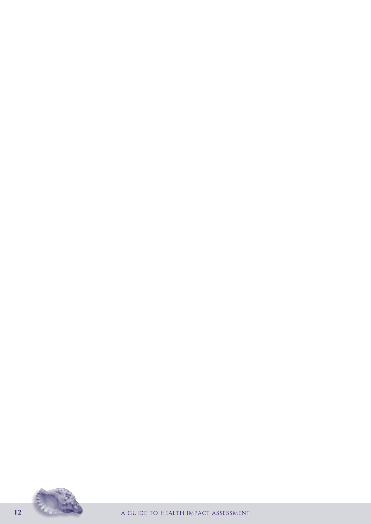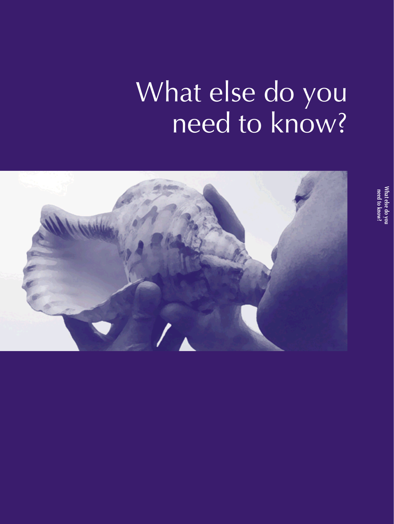# What else do you need to know?

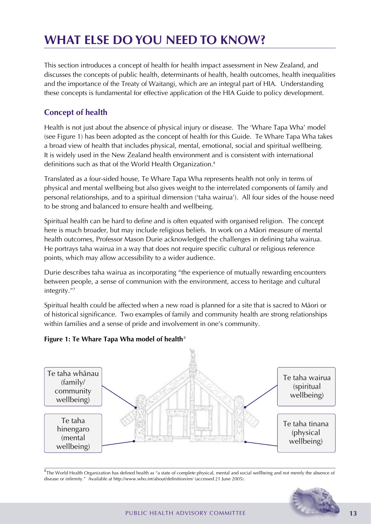## **WHAT ELSE DO YOU NEED TO KNOW?**

This section introduces a concept of health for health impact assessment in New Zealand, and discusses the concepts of public health, determinants of health, health outcomes, health inequalities and the importance of the Treaty of Waitangi, which are an integral part of HIA. Understanding these concepts is fundamental for effective application of the HIA Guide to policy development.

### **Concept of health**

Health is not just about the absence of physical injury or disease. The 'Whare Tapa Wha' model (see Figure 1) has been adopted as the concept of health for this Guide. Te Whare Tapa Wha takes a broad view of health that includes physical, mental, emotional, social and spiritual wellbeing. It is widely used in the New Zealand health environment and is consistent with international definitions such as that of the World Health Organization.<sup>#</sup>

Translated as a four-sided house, Te Whare Tapa Wha represents health not only in terms of physical and mental wellbeing but also gives weight to the interrelated components of family and personal relationships, and to a spiritual dimension ('taha wairua'). All four sides of the house need to be strong and balanced to ensure health and wellbeing.

Spiritual health can be hard to define and is often equated with organised religion. The concept here is much broader, but may include religious beliefs. In work on a Mäori measure of mental health outcomes, Professor Mason Durie acknowledged the challenges in defining taha wairua. He portrays taha wairua in a way that does not require specific cultural or religious reference points, which may allow accessibility to a wider audience.

Durie describes taha wairua as incorporating "the experience of mutually rewarding encounters between people, a sense of communion with the environment, access to heritage and cultural integrity."7

Spiritual health could be affected when a new road is planned for a site that is sacred to Mäori or of historical significance. Two examples of family and community health are strong relationships within families and a sense of pride and involvement in one's community.



#### **Figure 1: Te Whare Tapa Wha model of health**<sup>8</sup>

<sup>‡</sup>The World Health Organization has defined health as "a state of complete physical, mental and social wellbeing and not merely the absence of disease or infirmity." Available at http://www.who.int/about/definition/en/ (accessed 21 June 2005).

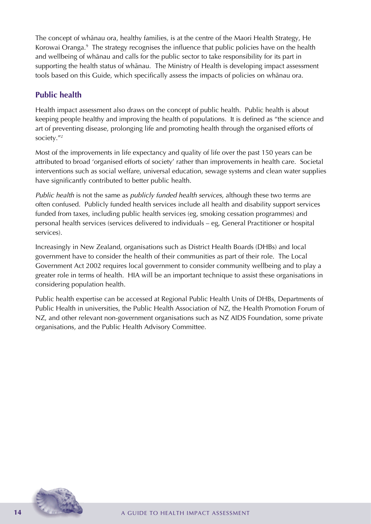The concept of whänau ora, healthy families, is at the centre of the Maori Health Strategy, He Korowai Oranga.<sup>9</sup> The strategy recognises the influence that public policies have on the health and wellbeing of whänau and calls for the public sector to take responsibility for its part in supporting the health status of whänau. The Ministry of Health is developing impact assessment tools based on this Guide, which specifically assess the impacts of policies on whānau ora.

### **Public health**

Health impact assessment also draws on the concept of public health. Public health is about keeping people healthy and improving the health of populations. It is defined as "the science and art of preventing disease, prolonging life and promoting health through the organised efforts of society."2

Most of the improvements in life expectancy and quality of life over the past 150 years can be attributed to broad 'organised efforts of society' rather than improvements in health care. Societal interventions such as social welfare, universal education, sewage systems and clean water supplies have significantly contributed to better public health.

Public health is not the same as *publicly funded health services*, although these two terms are often confused. Publicly funded health services include all health and disability support services funded from taxes, including public health services (eg, smoking cessation programmes) and personal health services (services delivered to individuals – eg, General Practitioner or hospital services).

Increasingly in New Zealand, organisations such as District Health Boards (DHBs) and local government have to consider the health of their communities as part of their role. The Local Government Act 2002 requires local government to consider community wellbeing and to play a greater role in terms of health. HIA will be an important technique to assist these organisations in considering population health.

Public health expertise can be accessed at Regional Public Health Units of DHBs, Departments of Public Health in universities, the Public Health Association of NZ, the Health Promotion Forum of NZ, and other relevant non-government organisations such as NZ AIDS Foundation, some private organisations, and the Public Health Advisory Committee.

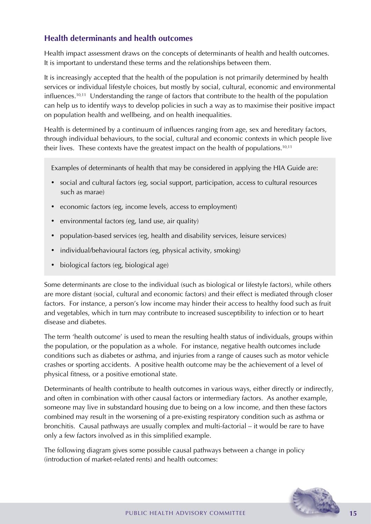#### **Health determinants and health outcomes**

Health impact assessment draws on the concepts of determinants of health and health outcomes. It is important to understand these terms and the relationships between them.

It is increasingly accepted that the health of the population is not primarily determined by health services or individual lifestyle choices, but mostly by social, cultural, economic and environmental influences.<sup>10,11</sup> Understanding the range of factors that contribute to the health of the population can help us to identify ways to develop policies in such a way as to maximise their positive impact on population health and wellbeing, and on health inequalities.

Health is determined by a continuum of influences ranging from age, sex and hereditary factors, through individual behaviours, to the social, cultural and economic contexts in which people live their lives. These contexts have the greatest impact on the health of populations.<sup>10,11</sup>

Examples of determinants of health that may be considered in applying the HIA Guide are:

- social and cultural factors (eg, social support, participation, access to cultural resources such as marae)
- economic factors (eg, income levels, access to employment)
- environmental factors (eg, land use, air quality)
- population-based services (eg, health and disability services, leisure services)
- individual/behavioural factors (eg, physical activity, smoking)
- biological factors (eg, biological age)

Some determinants are close to the individual (such as biological or lifestyle factors), while others are more distant (social, cultural and economic factors) and their effect is mediated through closer factors. For instance, a person's low income may hinder their access to healthy food such as fruit and vegetables, which in turn may contribute to increased susceptibility to infection or to heart disease and diabetes.

The term 'health outcome' is used to mean the resulting health status of individuals, groups within the population, or the population as a whole. For instance, negative health outcomes include conditions such as diabetes or asthma, and injuries from a range of causes such as motor vehicle crashes or sporting accidents. A positive health outcome may be the achievement of a level of physical fitness, or a positive emotional state.

Determinants of health contribute to health outcomes in various ways, either directly or indirectly, and often in combination with other causal factors or intermediary factors. As another example, someone may live in substandard housing due to being on a low income, and then these factors combined may result in the worsening of a pre-existing respiratory condition such as asthma or bronchitis. Causal pathways are usually complex and multi-factorial – it would be rare to have only a few factors involved as in this simplified example.

The following diagram gives some possible causal pathways between a change in policy (introduction of market-related rents) and health outcomes:

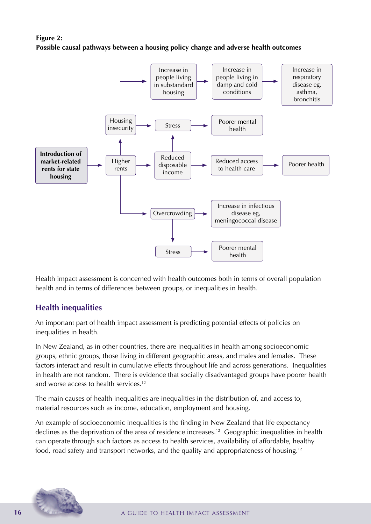#### **Figure 2: Possible causal pathways between a housing policy change and adverse health outcomes**



Health impact assessment is concerned with health outcomes both in terms of overall population health and in terms of differences between groups, or inequalities in health.

### **Health inequalities**

An important part of health impact assessment is predicting potential effects of policies on inequalities in health.

In New Zealand, as in other countries, there are inequalities in health among socioeconomic groups, ethnic groups, those living in different geographic areas, and males and females. These factors interact and result in cumulative effects throughout life and across generations. Inequalities in health are not random. There is evidence that socially disadvantaged groups have poorer health and worse access to health services.<sup>12</sup>

The main causes of health inequalities are inequalities in the distribution of, and access to, material resources such as income, education, employment and housing.

An example of socioeconomic inequalities is the finding in New Zealand that life expectancy declines as the deprivation of the area of residence increases.<sup>12</sup> Geographic inequalities in health can operate through such factors as access to health services, availability of affordable, healthy food, road safety and transport networks, and the quality and appropriateness of housing.12

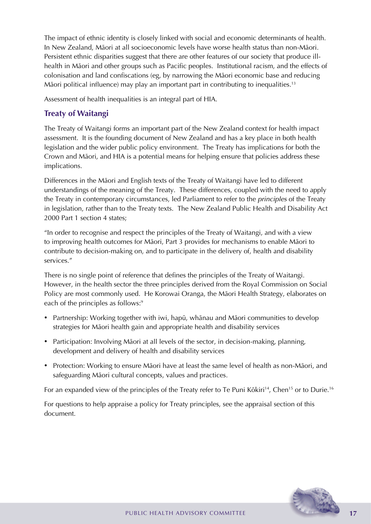The impact of ethnic identity is closely linked with social and economic determinants of health. In New Zealand, Mäori at all socioeconomic levels have worse health status than non-Mäori. Persistent ethnic disparities suggest that there are other features of our society that produce illhealth in Māori and other groups such as Pacific peoples. Institutional racism, and the effects of colonisation and land confiscations (eg, by narrowing the Māori economic base and reducing Māori political influence) may play an important part in contributing to inequalities.<sup>13</sup>

Assessment of health inequalities is an integral part of HIA.

### **Treaty of Waitangi**

The Treaty of Waitangi forms an important part of the New Zealand context for health impact assessment. It is the founding document of New Zealand and has a key place in both health legislation and the wider public policy environment. The Treaty has implications for both the Crown and Mäori, and HIA is a potential means for helping ensure that policies address these implications.

Differences in the Mäori and English texts of the Treaty of Waitangi have led to different understandings of the meaning of the Treaty. These differences, coupled with the need to apply the Treaty in contemporary circumstances, led Parliament to refer to the principles of the Treaty in legislation, rather than to the Treaty texts. The New Zealand Public Health and Disability Act 2000 Part 1 section 4 states;

"In order to recognise and respect the principles of the Treaty of Waitangi, and with a view to improving health outcomes for Mäori, Part 3 provides for mechanisms to enable Mäori to contribute to decision-making on, and to participate in the delivery of, health and disability services."

There is no single point of reference that defines the principles of the Treaty of Waitangi. However, in the health sector the three principles derived from the Royal Commission on Social Policy are most commonly used. He Korowai Oranga, the Mäori Health Strategy, elaborates on each of the principles as follows:<sup>9</sup>

- Partnership: Working together with iwi, hapü, whänau and Mäori communities to develop strategies for Mäori health gain and appropriate health and disability services
- Participation: Involving Māori at all levels of the sector, in decision-making, planning, development and delivery of health and disability services
- Protection: Working to ensure Mäori have at least the same level of health as non-Mäori, and safeguarding Mäori cultural concepts, values and practices.

For an expanded view of the principles of the Treaty refer to Te Puni Kökiri<sup>14</sup>, Chen<sup>15</sup> or to Durie.<sup>16</sup>

For questions to help appraise a policy for Treaty principles, see the appraisal section of this document.

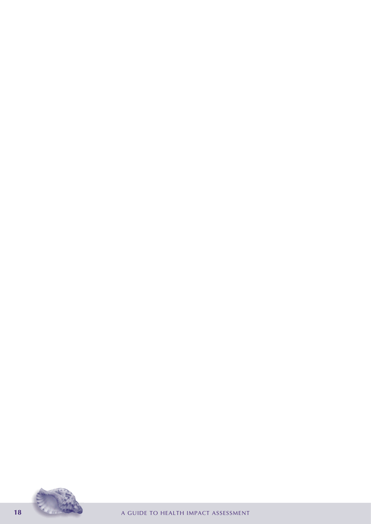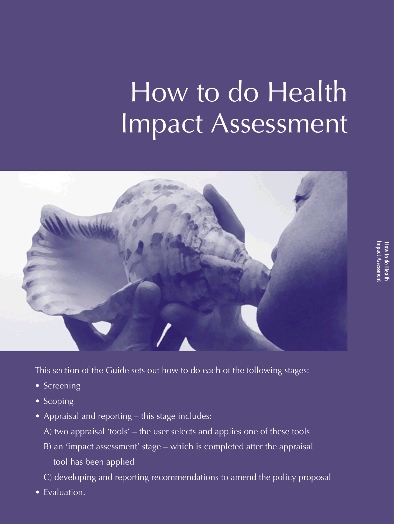## How to do Health Impact Assessment



This section of the Guide sets out how to do each of the following stages:

- Screening
- Scoping
- Appraisal and reporting this stage includes:
	- A) two appraisal 'tools' the user selects and applies one of these tools
	- B) an 'impact assessment' stage which is completed after the appraisal tool has been applied
	- C) developing and reporting recommendations to amend the policy proposal
- Evaluation.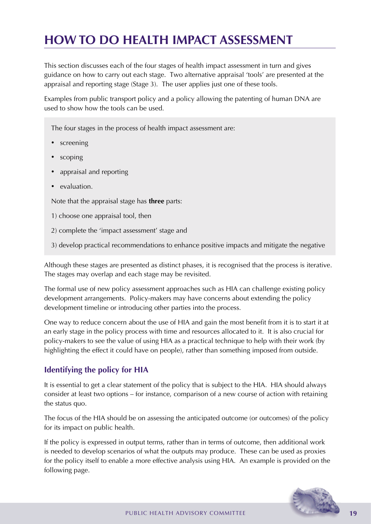## **HOW TO DO HEALTH IMPACT ASSESSMENT**

This section discusses each of the four stages of health impact assessment in turn and gives guidance on how to carry out each stage. Two alternative appraisal 'tools' are presented at the appraisal and reporting stage (Stage 3). The user applies just one of these tools.

Examples from public transport policy and a policy allowing the patenting of human DNA are used to show how the tools can be used.

The four stages in the process of health impact assessment are:

- screening
- scoping
- appraisal and reporting
- evaluation.

Note that the appraisal stage has **three** parts:

- 1) choose one appraisal tool, then
- 2) complete the 'impact assessment' stage and
- 3) develop practical recommendations to enhance positive impacts and mitigate the negative

Although these stages are presented as distinct phases, it is recognised that the process is iterative. The stages may overlap and each stage may be revisited.

The formal use of new policy assessment approaches such as HIA can challenge existing policy development arrangements. Policy-makers may have concerns about extending the policy development timeline or introducing other parties into the process.

One way to reduce concern about the use of HIA and gain the most benefit from it is to start it at an early stage in the policy process with time and resources allocated to it. It is also crucial for policy-makers to see the value of using HIA as a practical technique to help with their work (by highlighting the effect it could have on people), rather than something imposed from outside.

### **Identifying the policy for HIA**

It is essential to get a clear statement of the policy that is subject to the HIA. HIA should always consider at least two options – for instance, comparison of a new course of action with retaining the status quo.

The focus of the HIA should be on assessing the anticipated outcome (or outcomes) of the policy for its impact on public health.

If the policy is expressed in output terms, rather than in terms of outcome, then additional work is needed to develop scenarios of what the outputs may produce. These can be used as proxies for the policy itself to enable a more effective analysis using HIA. An example is provided on the following page.

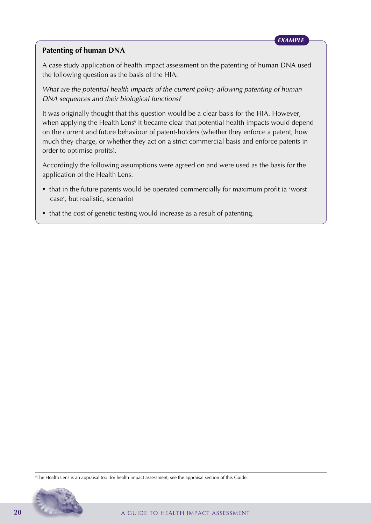

#### **Patenting of human DNA**

A case study application of health impact assessment on the patenting of human DNA used the following question as the basis of the HIA:

What are the potential health impacts of the current policy allowing patenting of human DNA sequences and their biological functions?

It was originally thought that this question would be a clear basis for the HIA. However, when applying the Health Lens<sup>§</sup> it became clear that potential health impacts would depend on the current and future behaviour of patent-holders (whether they enforce a patent, how much they charge, or whether they act on a strict commercial basis and enforce patents in order to optimise profits).

Accordingly the following assumptions were agreed on and were used as the basis for the application of the Health Lens:

- that in the future patents would be operated commercially for maximum profit (a 'worst case', but realistic, scenario)
- that the cost of genetic testing would increase as a result of patenting.

§ The Health Lens is an appraisal tool for health impact assessment, see the appraisal section of this Guide.

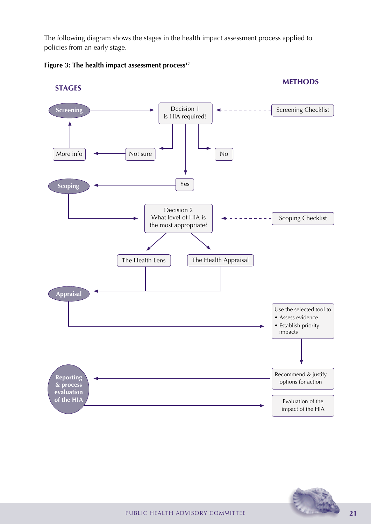The following diagram shows the stages in the health impact assessment process applied to policies from an early stage.



Figure 3: The health impact assessment process<sup>17</sup>

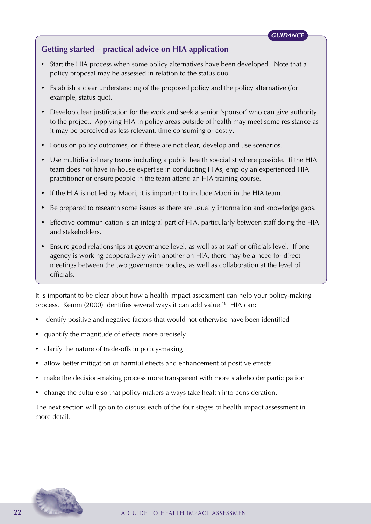#### **Getting started – practical advice on HIA application**

- Start the HIA process when some policy alternatives have been developed. Note that a policy proposal may be assessed in relation to the status quo.
- Establish a clear understanding of the proposed policy and the policy alternative (for example, status quo).
- Develop clear justification for the work and seek a senior 'sponsor' who can give authority to the project. Applying HIA in policy areas outside of health may meet some resistance as it may be perceived as less relevant, time consuming or costly.
- Focus on policy outcomes, or if these are not clear, develop and use scenarios.
- Use multidisciplinary teams including a public health specialist where possible. If the HIA team does not have in-house expertise in conducting HIAs, employ an experienced HIA practitioner or ensure people in the team attend an HIA training course.
- If the HIA is not led by Mäori, it is important to include Mäori in the HIA team.
- Be prepared to research some issues as there are usually information and knowledge gaps.
- Effective communication is an integral part of HIA, particularly between staff doing the HIA and stakeholders.
- Ensure good relationships at governance level, as well as at staff or officials level. If one agency is working cooperatively with another on HIA, there may be a need for direct meetings between the two governance bodies, as well as collaboration at the level of officials.

It is important to be clear about how a health impact assessment can help your policy-making process. Kemm (2000) identifies several ways it can add value.<sup>18</sup> HIA can:

- identify positive and negative factors that would not otherwise have been identified
- quantify the magnitude of effects more precisely
- clarify the nature of trade-offs in policy-making
- allow better mitigation of harmful effects and enhancement of positive effects
- make the decision-making process more transparent with more stakeholder participation
- change the culture so that policy-makers always take health into consideration.

The next section will go on to discuss each of the four stages of health impact assessment in more detail.

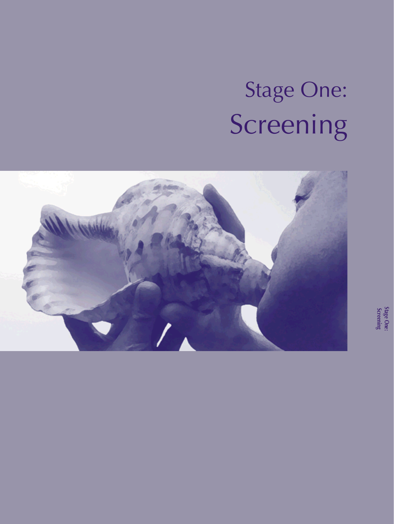# Stage One: Screening

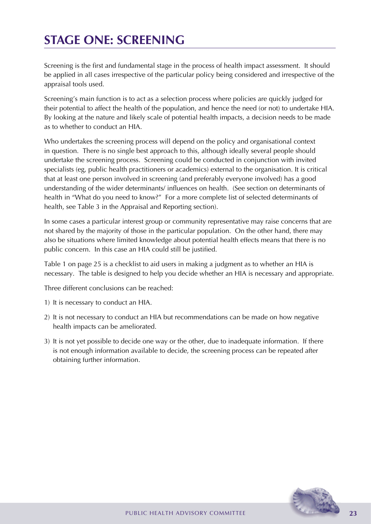## **STAGE ONE: SCREENING**

Screening is the first and fundamental stage in the process of health impact assessment. It should be applied in all cases irrespective of the particular policy being considered and irrespective of the appraisal tools used.

Screening's main function is to act as a selection process where policies are quickly judged for their potential to affect the health of the population, and hence the need (or not) to undertake HIA. By looking at the nature and likely scale of potential health impacts, a decision needs to be made as to whether to conduct an HIA.

Who undertakes the screening process will depend on the policy and organisational context in question. There is no single best approach to this, although ideally several people should undertake the screening process. Screening could be conducted in conjunction with invited specialists (eg, public health practitioners or academics) external to the organisation. It is critical that at least one person involved in screening (and preferably everyone involved) has a good understanding of the wider determinants/ influences on health. (See section on determinants of health in "What do you need to know?" For a more complete list of selected determinants of health, see Table 3 in the Appraisal and Reporting section).

In some cases a particular interest group or community representative may raise concerns that are not shared by the majority of those in the particular population. On the other hand, there may also be situations where limited knowledge about potential health effects means that there is no public concern. In this case an HIA could still be justified.

Table 1 on page 25 is a checklist to aid users in making a judgment as to whether an HIA is necessary. The table is designed to help you decide whether an HIA is necessary and appropriate.

Three different conclusions can be reached:

- 1) It is necessary to conduct an HIA.
- 2) It is not necessary to conduct an HIA but recommendations can be made on how negative health impacts can be ameliorated.
- 3) It is not yet possible to decide one way or the other, due to inadequate information. If there is not enough information available to decide, the screening process can be repeated after obtaining further information.

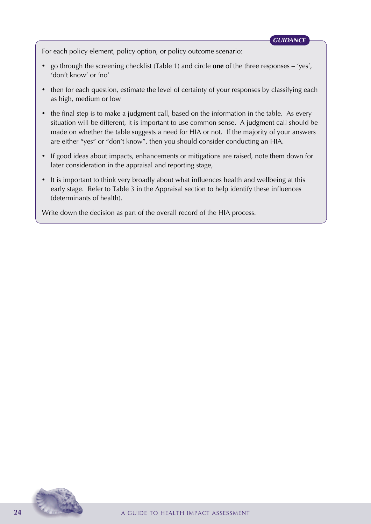For each policy element, policy option, or policy outcome scenario:

- go through the screening checklist (Table 1) and circle **one** of the three responses 'yes', 'don't know' or 'no'
- then for each question, estimate the level of certainty of your responses by classifying each as high, medium or low
- the final step is to make a judgment call, based on the information in the table. As every situation will be different, it is important to use common sense. A judgment call should be made on whether the table suggests a need for HIA or not. If the majority of your answers are either "yes" or "don't know", then you should consider conducting an HIA.
- If good ideas about impacts, enhancements or mitigations are raised, note them down for later consideration in the appraisal and reporting stage,
- It is important to think very broadly about what influences health and wellbeing at this early stage. Refer to Table 3 in the Appraisal section to help identify these influences (determinants of health).

Write down the decision as part of the overall record of the HIA process.

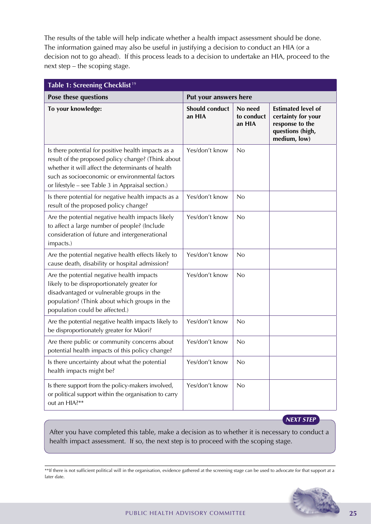The results of the table will help indicate whether a health impact assessment should be done. The information gained may also be useful in justifying a decision to conduct an HIA (or a decision not to go ahead). If this process leads to a decision to undertake an HIA, proceed to the next step – the scoping stage.

| Table 1: Screening Checklist <sup>19</sup>                                                                                                                                                                                                                            |                                 |                                 |                                                                                                        |  |
|-----------------------------------------------------------------------------------------------------------------------------------------------------------------------------------------------------------------------------------------------------------------------|---------------------------------|---------------------------------|--------------------------------------------------------------------------------------------------------|--|
| Pose these questions                                                                                                                                                                                                                                                  | Put your answers here           |                                 |                                                                                                        |  |
| To your knowledge:                                                                                                                                                                                                                                                    | <b>Should conduct</b><br>an HIA | No need<br>to conduct<br>an HIA | <b>Estimated level of</b><br>certainty for your<br>response to the<br>questions (high,<br>medium, low) |  |
| Is there potential for positive health impacts as a<br>result of the proposed policy change? (Think about<br>whether it will affect the determinants of health<br>such as socioeconomic or environmental factors<br>or lifestyle - see Table 3 in Appraisal section.) | Yes/don't know                  | N <sub>o</sub>                  |                                                                                                        |  |
| Is there potential for negative health impacts as a<br>result of the proposed policy change?                                                                                                                                                                          | Yes/don't know                  | N <sub>o</sub>                  |                                                                                                        |  |
| Are the potential negative health impacts likely<br>to affect a large number of people? (Include<br>consideration of future and intergenerational<br>impacts.)                                                                                                        | Yes/don't know                  | No                              |                                                                                                        |  |
| Are the potential negative health effects likely to<br>cause death, disability or hospital admission?                                                                                                                                                                 | Yes/don't know                  | No                              |                                                                                                        |  |
| Are the potential negative health impacts<br>likely to be disproportionately greater for<br>disadvantaged or vulnerable groups in the<br>population? (Think about which groups in the<br>population could be affected.)                                               | Yes/don't know                  | No                              |                                                                                                        |  |
| Are the potential negative health impacts likely to<br>be disproportionately greater for Māori?                                                                                                                                                                       | Yes/don't know                  | N <sub>o</sub>                  |                                                                                                        |  |
| Are there public or community concerns about<br>potential health impacts of this policy change?                                                                                                                                                                       | Yes/don't know                  | N <sub>o</sub>                  |                                                                                                        |  |
| Is there uncertainty about what the potential<br>health impacts might be?                                                                                                                                                                                             | Yes/don't know                  | No                              |                                                                                                        |  |
| Is there support from the policy-makers involved,<br>or political support within the organisation to carry<br>out an HIA?**                                                                                                                                           | Yes/don't know                  | No                              |                                                                                                        |  |

**NEXT STEP**

After you have completed this table, make a decision as to whether it is necessary to conduct a health impact assessment. If so, the next step is to proceed with the scoping stage.

\*\*If there is not sufficient political will in the organisation, evidence gathered at the screening stage can be used to advocate for that support at a later date.

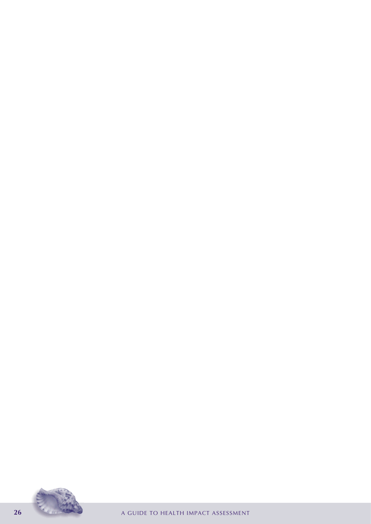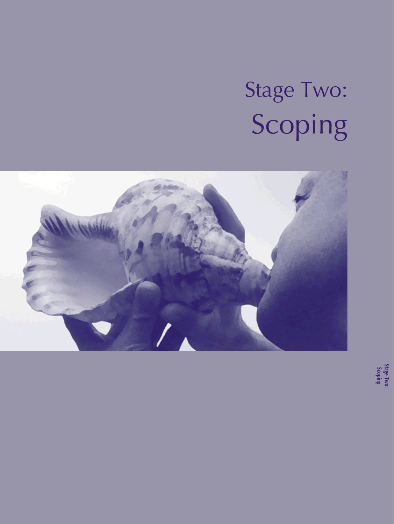# Stage Two: Scoping

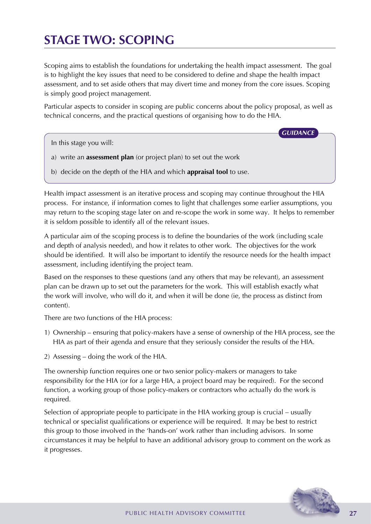# **STAGE TWO: SCOPING**

Scoping aims to establish the foundations for undertaking the health impact assessment. The goal is to highlight the key issues that need to be considered to define and shape the health impact assessment, and to set aside others that may divert time and money from the core issues. Scoping is simply good project management.

Particular aspects to consider in scoping are public concerns about the policy proposal, as well as technical concerns, and the practical questions of organising how to do the HIA.

In this stage you will:

- a) write an **assessment plan** (or project plan) to set out the work
- b) decide on the depth of the HIA and which **appraisal tool** to use.

Health impact assessment is an iterative process and scoping may continue throughout the HIA process. For instance, if information comes to light that challenges some earlier assumptions, you may return to the scoping stage later on and re-scope the work in some way. It helps to remember it is seldom possible to identify all of the relevant issues.

A particular aim of the scoping process is to define the boundaries of the work (including scale and depth of analysis needed), and how it relates to other work. The objectives for the work should be identified. It will also be important to identify the resource needs for the health impact assessment, including identifying the project team.

Based on the responses to these questions (and any others that may be relevant), an assessment plan can be drawn up to set out the parameters for the work. This will establish exactly what the work will involve, who will do it, and when it will be done (ie, the process as distinct from content).

There are two functions of the HIA process:

- 1) Ownership ensuring that policy-makers have a sense of ownership of the HIA process, see the HIA as part of their agenda and ensure that they seriously consider the results of the HIA.
- 2) Assessing doing the work of the HIA.

The ownership function requires one or two senior policy-makers or managers to take responsibility for the HIA (or for a large HIA, a project board may be required). For the second function, a working group of those policy-makers or contractors who actually do the work is required.

Selection of appropriate people to participate in the HIA working group is crucial – usually technical or specialist qualifications or experience will be required. It may be best to restrict this group to those involved in the 'hands-on' work rather than including advisors. In some circumstances it may be helpful to have an additional advisory group to comment on the work as it progresses.



**GUIDANCE**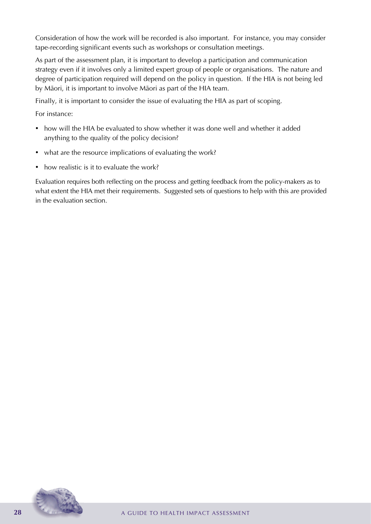Consideration of how the work will be recorded is also important. For instance, you may consider tape-recording significant events such as workshops or consultation meetings.

As part of the assessment plan, it is important to develop a participation and communication strategy even if it involves only a limited expert group of people or organisations. The nature and degree of participation required will depend on the policy in question. If the HIA is not being led by Mäori, it is important to involve Mäori as part of the HIA team.

Finally, it is important to consider the issue of evaluating the HIA as part of scoping.

For instance:

- how will the HIA be evaluated to show whether it was done well and whether it added anything to the quality of the policy decision?
- what are the resource implications of evaluating the work?
- how realistic is it to evaluate the work?

Evaluation requires both reflecting on the process and getting feedback from the policy-makers as to what extent the HIA met their requirements. Suggested sets of questions to help with this are provided in the evaluation section.

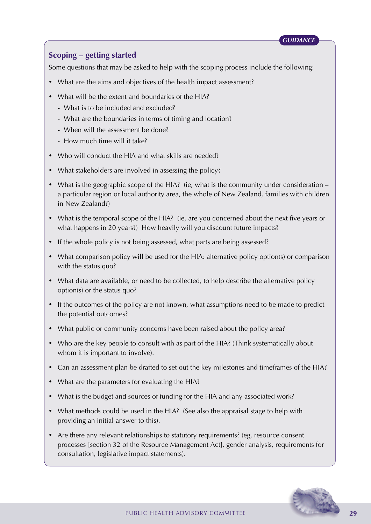#### **GUIDANCE**

# **Scoping – getting started**

Some questions that may be asked to help with the scoping process include the following:

- What are the aims and objectives of the health impact assessment?
- What will be the extent and boundaries of the HIA?
	- What is to be included and excluded?
	- What are the boundaries in terms of timing and location?
	- When will the assessment be done?
	- How much time will it take?
- Who will conduct the HIA and what skills are needed?
- What stakeholders are involved in assessing the policy?
- What is the geographic scope of the HIA? (ie, what is the community under consideration a particular region or local authority area, the whole of New Zealand, families with children in New Zealand?)
- What is the temporal scope of the HIA? (ie, are you concerned about the next five years or what happens in 20 years?) How heavily will you discount future impacts?
- If the whole policy is not being assessed, what parts are being assessed?
- What comparison policy will be used for the HIA: alternative policy option(s) or comparison with the status quo?
- What data are available, or need to be collected, to help describe the alternative policy option(s) or the status quo?
- If the outcomes of the policy are not known, what assumptions need to be made to predict the potential outcomes?
- What public or community concerns have been raised about the policy area?
- Who are the key people to consult with as part of the HIA? (Think systematically about whom it is important to involve).
- Can an assessment plan be drafted to set out the key milestones and timeframes of the HIA?
- What are the parameters for evaluating the HIA?
- What is the budget and sources of funding for the HIA and any associated work?
- What methods could be used in the HIA? (See also the appraisal stage to help with providing an initial answer to this).
- Are there any relevant relationships to statutory requirements? (eg, resource consent processes [section 32 of the Resource Management Act], gender analysis, requirements for consultation, legislative impact statements).

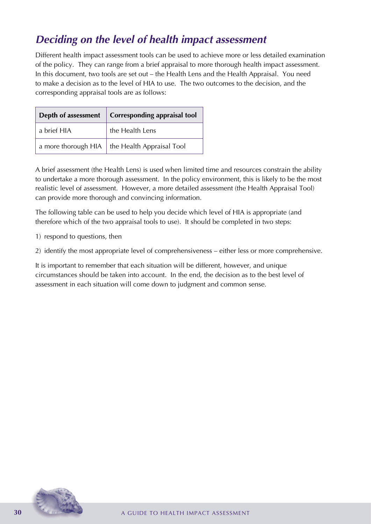# **Deciding on the level of health impact assessment**

Different health impact assessment tools can be used to achieve more or less detailed examination of the policy. They can range from a brief appraisal to more thorough health impact assessment. In this document, two tools are set out – the Health Lens and the Health Appraisal. You need to make a decision as to the level of HIA to use. The two outcomes to the decision, and the corresponding appraisal tools are as follows:

| Depth of assessment | Corresponding appraisal tool                              |
|---------------------|-----------------------------------------------------------|
| a brief HIA         | the Health Lens                                           |
|                     | a more thorough HIA $\parallel$ the Health Appraisal Tool |

A brief assessment (the Health Lens) is used when limited time and resources constrain the ability to undertake a more thorough assessment. In the policy environment, this is likely to be the most realistic level of assessment. However, a more detailed assessment (the Health Appraisal Tool) can provide more thorough and convincing information.

The following table can be used to help you decide which level of HIA is appropriate (and therefore which of the two appraisal tools to use). It should be completed in two steps:

1) respond to questions, then

2) identify the most appropriate level of comprehensiveness – either less or more comprehensive.

It is important to remember that each situation will be different, however, and unique circumstances should be taken into account. In the end, the decision as to the best level of assessment in each situation will come down to judgment and common sense.

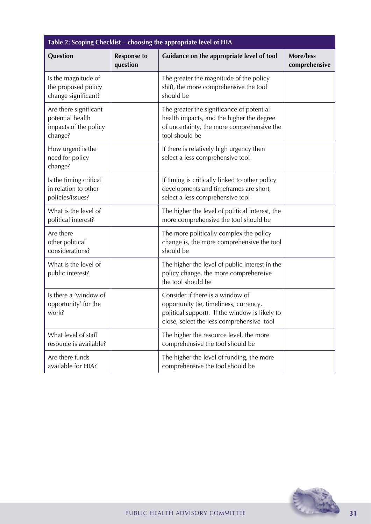|                                                                               |                                | Table 2: Scoping Checklist - choosing the appropriate level of HIA                                                                                                        |                            |
|-------------------------------------------------------------------------------|--------------------------------|---------------------------------------------------------------------------------------------------------------------------------------------------------------------------|----------------------------|
| Question                                                                      | <b>Response to</b><br>question | Guidance on the appropriate level of tool                                                                                                                                 | More/less<br>comprehensive |
| Is the magnitude of<br>the proposed policy<br>change significant?             |                                | The greater the magnitude of the policy<br>shift, the more comprehensive the tool<br>should be                                                                            |                            |
| Are there significant<br>potential health<br>impacts of the policy<br>change? |                                | The greater the significance of potential<br>health impacts, and the higher the degree<br>of uncertainty, the more comprehensive the<br>tool should be                    |                            |
| How urgent is the<br>need for policy<br>change?                               |                                | If there is relatively high urgency then<br>select a less comprehensive tool                                                                                              |                            |
| Is the timing critical<br>in relation to other<br>policies/issues?            |                                | If timing is critically linked to other policy<br>developments and timeframes are short,<br>select a less comprehensive tool                                              |                            |
| What is the level of<br>political interest?                                   |                                | The higher the level of political interest, the<br>more comprehensive the tool should be                                                                                  |                            |
| Are there<br>other political<br>considerations?                               |                                | The more politically complex the policy<br>change is, the more comprehensive the tool<br>should be                                                                        |                            |
| What is the level of<br>public interest?                                      |                                | The higher the level of public interest in the<br>policy change, the more comprehensive<br>the tool should be                                                             |                            |
| Is there a 'window of<br>opportunity' for the<br>work?                        |                                | Consider if there is a window of<br>opportunity (ie, timeliness, currency,<br>political support). If the window is likely to<br>close, select the less comprehensive tool |                            |
| What level of staff<br>resource is available?                                 |                                | The higher the resource level, the more<br>comprehensive the tool should be                                                                                               |                            |
| Are there funds<br>available for HIA?                                         |                                | The higher the level of funding, the more<br>comprehensive the tool should be                                                                                             |                            |

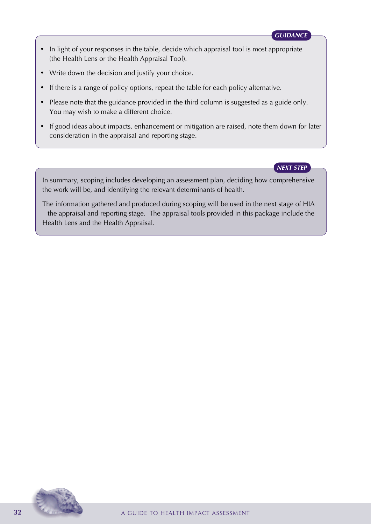- In light of your responses in the table, decide which appraisal tool is most appropriate (the Health Lens or the Health Appraisal Tool).
- Write down the decision and justify your choice.
- If there is a range of policy options, repeat the table for each policy alternative.
- Please note that the guidance provided in the third column is suggested as a guide only. You may wish to make a different choice.
- If good ideas about impacts, enhancement or mitigation are raised, note them down for later consideration in the appraisal and reporting stage.

**NEXT STEP**

In summary, scoping includes developing an assessment plan, deciding how comprehensive the work will be, and identifying the relevant determinants of health.

The information gathered and produced during scoping will be used in the next stage of HIA – the appraisal and reporting stage. The appraisal tools provided in this package include the Health Lens and the Health Appraisal.

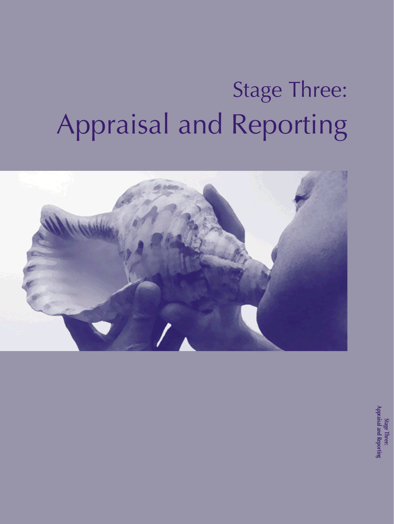# Stage Three: Appraisal and Reporting

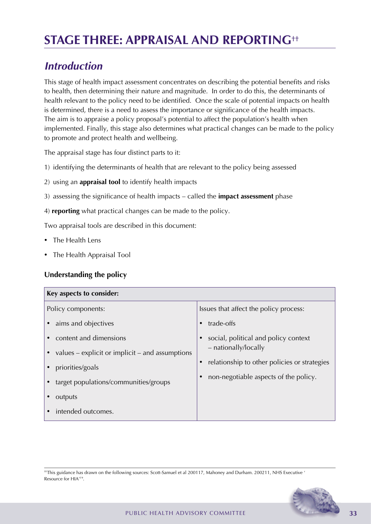# **STAGE THREE: APPRAISAL AND REPORTING**††

# **Introduction**

This stage of health impact assessment concentrates on describing the potential benefits and risks to health, then determining their nature and magnitude. In order to do this, the determinants of health relevant to the policy need to be identified. Once the scale of potential impacts on health is determined, there is a need to assess the importance or significance of the health impacts. The aim is to appraise a policy proposal's potential to affect the population's health when implemented. Finally, this stage also determines what practical changes can be made to the policy to promote and protect health and wellbeing.

The appraisal stage has four distinct parts to it:

- 1) identifying the determinants of health that are relevant to the policy being assessed
- 2) using an **appraisal tool** to identify health impacts
- 3) assessing the significance of health impacts called the **impact assessment** phase
- 4) **reporting** what practical changes can be made to the policy.

Two appraisal tools are described in this document:

- The Health Lens
- The Health Appraisal Tool

### **Understanding the policy**

| Key aspects to consider:                          |                                              |
|---------------------------------------------------|----------------------------------------------|
| Policy components:                                | Issues that affect the policy process:       |
| aims and objectives                               | trade-offs                                   |
| content and dimensions                            | social, political and policy context         |
| • values – explicit or implicit – and assumptions | - nationally/locally                         |
| priorities/goals                                  | relationship to other policies or strategies |
| target populations/communities/groups             | non-negotiable aspects of the policy.        |
| outputs                                           |                                              |
| intended outcomes.                                |                                              |

††This guidance has drawn on the following sources: Scott-Samuel et al 200117, Mahoney and Durham. 200211, NHS Executive ' Resource for HIA'19.

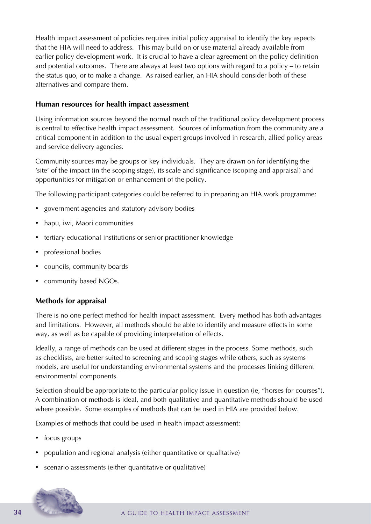Health impact assessment of policies requires initial policy appraisal to identify the key aspects that the HIA will need to address. This may build on or use material already available from earlier policy development work. It is crucial to have a clear agreement on the policy definition and potential outcomes. There are always at least two options with regard to a policy – to retain the status quo, or to make a change. As raised earlier, an HIA should consider both of these alternatives and compare them.

# **Human resources for health impact assessment**

Using information sources beyond the normal reach of the traditional policy development process is central to effective health impact assessment. Sources of information from the community are a critical component in addition to the usual expert groups involved in research, allied policy areas and service delivery agencies.

Community sources may be groups or key individuals. They are drawn on for identifying the 'site' of the impact (in the scoping stage), its scale and significance (scoping and appraisal) and opportunities for mitigation or enhancement of the policy.

The following participant categories could be referred to in preparing an HIA work programme:

- government agencies and statutory advisory bodies
- hapü, iwi, Mäori communities
- tertiary educational institutions or senior practitioner knowledge
- professional bodies
- councils, community boards
- community based NGOs.

# **Methods for appraisal**

There is no one perfect method for health impact assessment. Every method has both advantages and limitations. However, all methods should be able to identify and measure effects in some way, as well as be capable of providing interpretation of effects.

Ideally, a range of methods can be used at different stages in the process. Some methods, such as checklists, are better suited to screening and scoping stages while others, such as systems models, are useful for understanding environmental systems and the processes linking different environmental components.

Selection should be appropriate to the particular policy issue in question (ie, "horses for courses"). A combination of methods is ideal, and both qualitative and quantitative methods should be used where possible. Some examples of methods that can be used in HIA are provided below.

Examples of methods that could be used in health impact assessment:

- focus groups
- population and regional analysis (either quantitative or qualitative)
- scenario assessments (either quantitative or qualitative)

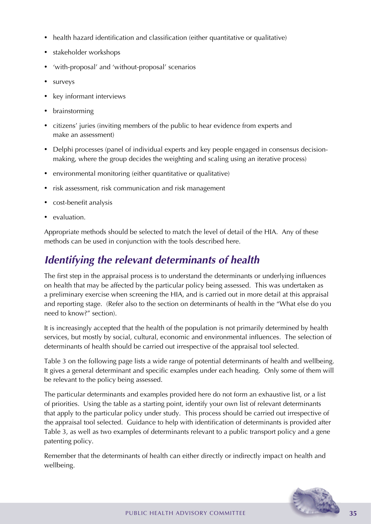- health hazard identification and classification (either quantitative or qualitative)
- stakeholder workshops
- 'with-proposal' and 'without-proposal' scenarios
- surveys
- key informant interviews
- brainstorming
- citizens' juries (inviting members of the public to hear evidence from experts and make an assessment)
- Delphi processes (panel of individual experts and key people engaged in consensus decisionmaking, where the group decides the weighting and scaling using an iterative process)
- environmental monitoring (either quantitative or qualitative)
- risk assessment, risk communication and risk management
- cost-benefit analysis
- evaluation.

Appropriate methods should be selected to match the level of detail of the HIA. Any of these methods can be used in conjunction with the tools described here.

# **Identifying the relevant determinants of health**

The first step in the appraisal process is to understand the determinants or underlying influences on health that may be affected by the particular policy being assessed. This was undertaken as a preliminary exercise when screening the HIA, and is carried out in more detail at this appraisal and reporting stage. (Refer also to the section on determinants of health in the "What else do you need to know?" section).

It is increasingly accepted that the health of the population is not primarily determined by health services, but mostly by social, cultural, economic and environmental influences. The selection of determinants of health should be carried out irrespective of the appraisal tool selected.

Table 3 on the following page lists a wide range of potential determinants of health and wellbeing. It gives a general determinant and specific examples under each heading. Only some of them will be relevant to the policy being assessed.

The particular determinants and examples provided here do not form an exhaustive list, or a list of priorities. Using the table as a starting point, identify your own list of relevant determinants that apply to the particular policy under study. This process should be carried out irrespective of the appraisal tool selected. Guidance to help with identification of determinants is provided after Table 3, as well as two examples of determinants relevant to a public transport policy and a gene patenting policy.

Remember that the determinants of health can either directly or indirectly impact on health and wellbeing.

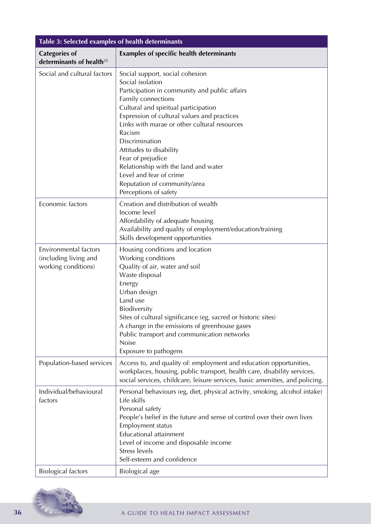| Table 3: Selected examples of health determinants                     |                                                                                                                                                                                                                                                                                                                                                                                                                                                                           |
|-----------------------------------------------------------------------|---------------------------------------------------------------------------------------------------------------------------------------------------------------------------------------------------------------------------------------------------------------------------------------------------------------------------------------------------------------------------------------------------------------------------------------------------------------------------|
| <b>Categories of</b><br>determinants of health <sup>20</sup>          | <b>Examples of specific health determinants</b>                                                                                                                                                                                                                                                                                                                                                                                                                           |
| Social and cultural factors                                           | Social support, social cohesion<br>Social isolation<br>Participation in community and public affairs<br>Family connections<br>Cultural and spiritual participation<br>Expression of cultural values and practices<br>Links with marae or other cultural resources<br>Racism<br>Discrimination<br>Attitudes to disability<br>Fear of prejudice<br>Relationship with the land and water<br>Level and fear of crime<br>Reputation of community/area<br>Perceptions of safety |
| Economic factors                                                      | Creation and distribution of wealth<br>Income level<br>Affordability of adequate housing<br>Availability and quality of employment/education/training<br>Skills development opportunities                                                                                                                                                                                                                                                                                 |
| Environmental factors<br>(including living and<br>working conditions) | Housing conditions and location<br>Working conditions<br>Quality of air, water and soil<br>Waste disposal<br>Energy<br>Urban design<br>Land use<br>Biodiversity<br>Sites of cultural significance (eg, sacred or historic sites)<br>A change in the emissions of greenhouse gases<br>Public transport and communication networks<br>Noise<br>Exposure to pathogens                                                                                                        |
| Population-based services                                             | Access to, and quality of: employment and education opportunities,<br>workplaces, housing, public transport, health care, disability services,<br>social services, childcare, leisure services, basic amenities, and policing.                                                                                                                                                                                                                                            |
| Individual/behavioural<br>factors                                     | Personal behaviours (eg, diet, physical activity, smoking, alcohol intake)<br>Life skills<br>Personal safety<br>People's belief in the future and sense of control over their own lives<br>Employment status<br><b>Educational attainment</b><br>Level of income and disposable income<br>Stress levels<br>Self-esteem and confidence                                                                                                                                     |
| <b>Biological factors</b>                                             | Biological age                                                                                                                                                                                                                                                                                                                                                                                                                                                            |

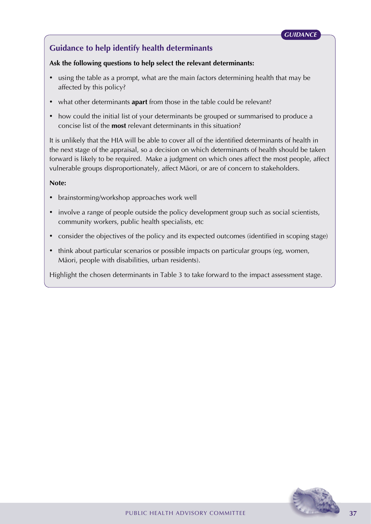#### **GUIDANCE**

# **Guidance to help identify health determinants**

#### **Ask the following questions to help select the relevant determinants:**

- using the table as a prompt, what are the main factors determining health that may be affected by this policy?
- what other determinants **apart** from those in the table could be relevant?
- how could the initial list of your determinants be grouped or summarised to produce a concise list of the **most** relevant determinants in this situation?

It is unlikely that the HIA will be able to cover all of the identified determinants of health in the next stage of the appraisal, so a decision on which determinants of health should be taken forward is likely to be required. Make a judgment on which ones affect the most people, affect vulnerable groups disproportionately, affect Mäori, or are of concern to stakeholders.

#### **Note:**

- brainstorming/workshop approaches work well
- involve a range of people outside the policy development group such as social scientists, community workers, public health specialists, etc
- consider the objectives of the policy and its expected outcomes (identified in scoping stage)
- think about particular scenarios or possible impacts on particular groups (eg, women, Mäori, people with disabilities, urban residents).

Highlight the chosen determinants in Table 3 to take forward to the impact assessment stage.

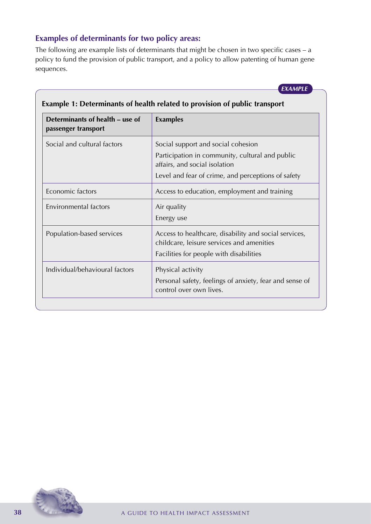# **Examples of determinants for two policy areas:**

The following are example lists of determinants that might be chosen in two specific cases  $-$  a policy to fund the provision of public transport, and a policy to allow patenting of human gene sequences.



| Determinants of health – use of<br>passenger transport | <b>Examples</b>                                                                                                                                                              |
|--------------------------------------------------------|------------------------------------------------------------------------------------------------------------------------------------------------------------------------------|
| Social and cultural factors                            | Social support and social cohesion<br>Participation in community, cultural and public<br>affairs, and social isolation<br>Level and fear of crime, and perceptions of safety |
| Economic factors                                       | Access to education, employment and training                                                                                                                                 |
| Environmental factors                                  | Air quality<br>Energy use                                                                                                                                                    |
| Population-based services                              | Access to healthcare, disability and social services,<br>childcare, leisure services and amenities<br>Facilities for people with disabilities                                |
| Individual/behavioural factors                         | Physical activity<br>Personal safety, feelings of anxiety, fear and sense of<br>control over own lives.                                                                      |

# **Example 1: Determinants of health related to provision of public transport**

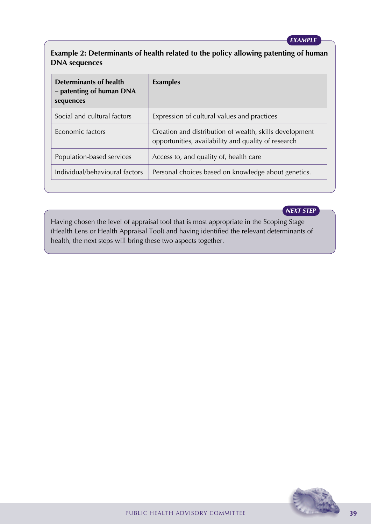#### **EXAMPLE**

**NEXT STEP**

# **Example 2: Determinants of health related to the policy allowing patenting of human DNA sequences**

| Determinants of health<br>- patenting of human DNA<br>sequences | <b>Examples</b>                                                                                                |
|-----------------------------------------------------------------|----------------------------------------------------------------------------------------------------------------|
| Social and cultural factors                                     | Expression of cultural values and practices                                                                    |
| Economic factors                                                | Creation and distribution of wealth, skills development<br>opportunities, availability and quality of research |
| Population-based services                                       | Access to, and quality of, health care                                                                         |
| Individual/behavioural factors                                  | Personal choices based on knowledge about genetics.                                                            |

Having chosen the level of appraisal tool that is most appropriate in the Scoping Stage (Health Lens or Health Appraisal Tool) and having identified the relevant determinants of health, the next steps will bring these two aspects together.

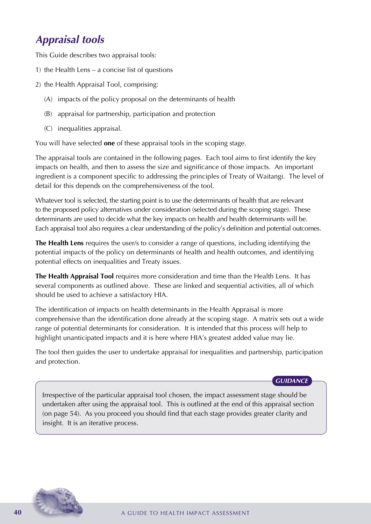# **Appraisal tools**

This Guide describes two appraisal tools:

- 1) the Health Lens a concise list of questions
- 2) the Health Appraisal Tool, comprising:
	- (A) impacts of the policy proposal on the determinants of health
	- (B) appraisal for partnership, participation and protection
	- (C) inequalities appraisal.

You will have selected **one** of these appraisal tools in the scoping stage.

The appraisal tools are contained in the following pages. Each tool aims to first identify the key impacts on health, and then to assess the size and significance of those impacts. An important ingredient is a component specific to addressing the principles of Treaty of Waitangi. The level of detail for this depends on the comprehensiveness of the tool.

Whatever tool is selected, the starting point is to use the determinants of health that are relevant to the proposed policy alternatives under consideration (selected during the scoping stage). These determinants are used to decide what the key impacts on health and health determinants will be. Each appraisal tool also requires a clear understanding of the policy's definition and potential outcomes.

**The Health Lens** requires the user/s to consider a range of questions, including identifying the potential impacts of the policy on determinants of health and health outcomes, and identifying potential effects on inequalities and Treaty issues.

**The Health Appraisal Tool** requires more consideration and time than the Health Lens. It has several components as outlined above. These are linked and sequential activities, all of which should be used to achieve a satisfactory HIA.

The identification of impacts on health determinants in the Health Appraisal is more comprehensive than the identification done already at the scoping stage. A matrix sets out a wide range of potential determinants for consideration. It is intended that this process will help to highlight unanticipated impacts and it is here where HIA's greatest added value may lie.

The tool then guides the user to undertake appraisal for inequalities and partnership, participation and protection.

**GUIDANCE**

Irrespective of the particular appraisal tool chosen, the impact assessment stage should be undertaken after using the appraisal tool. This is outlined at the end of this appraisal section (on page 54). As you proceed you should find that each stage provides greater clarity and insight. It is an iterative process.

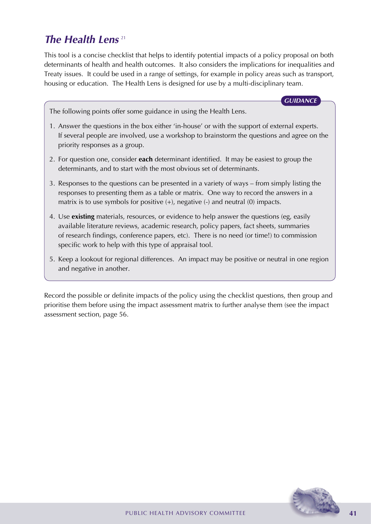# **The Health Lens** <sup>21</sup>

This tool is a concise checklist that helps to identify potential impacts of a policy proposal on both determinants of health and health outcomes. It also considers the implications for inequalities and Treaty issues. It could be used in a range of settings, for example in policy areas such as transport, housing or education. The Health Lens is designed for use by a multi-disciplinary team.

The following points offer some guidance in using the Health Lens.

- 1. Answer the questions in the box either 'in-house' or with the support of external experts. If several people are involved, use a workshop to brainstorm the questions and agree on the priority responses as a group.
- 2. For question one, consider **each** determinant identified. It may be easiest to group the determinants, and to start with the most obvious set of determinants.
- 3. Responses to the questions can be presented in a variety of ways from simply listing the responses to presenting them as a table or matrix. One way to record the answers in a matrix is to use symbols for positive  $(+)$ , negative  $(-)$  and neutral  $(0)$  impacts.
- 4. Use **existing** materials, resources, or evidence to help answer the questions (eg, easily available literature reviews, academic research, policy papers, fact sheets, summaries of research findings, conference papers, etc). There is no need (or time!) to commission specific work to help with this type of appraisal tool.
- 5. Keep a lookout for regional differences. An impact may be positive or neutral in one region and negative in another.

Record the possible or definite impacts of the policy using the checklist questions, then group and prioritise them before using the impact assessment matrix to further analyse them (see the impact assessment section, page 56.



**GUIDANCE**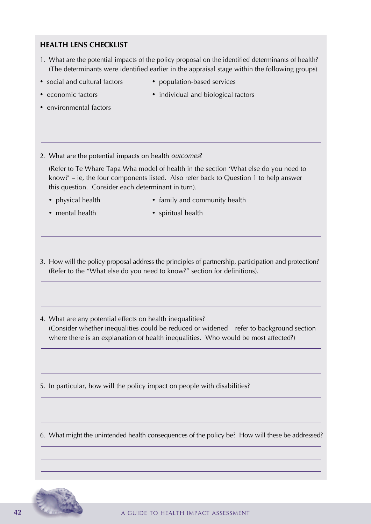### **HEALTH LENS CHECKLIST**

- 1. What are the potential impacts of the policy proposal on the identified determinants of health? (The determinants were identified earlier in the appraisal stage within the following groups)
- social and cultural factors population-based services
	-

- 
- economic factors individual and biological factors
- environmental factors

### 2. What are the potential impacts on health outcomes?

 (Refer to Te Whare Tapa Wha model of health in the section 'What else do you need to know?' – ie, the four components listed. Also refer back to Question 1 to help answer this question. Consider each determinant in turn).

- physical health family and community health
	- mental health spiritual health
- 3. How will the policy proposal address the principles of partnership, participation and protection? (Refer to the "What else do you need to know?" section for definitions).
- 4. What are any potential effects on health inequalities? (Consider whether inequalities could be reduced or widened – refer to background section where there is an explanation of health inequalities. Who would be most affected?)

5. In particular, how will the policy impact on people with disabilities?

6. What might the unintended health consequences of the policy be? How will these be addressed?

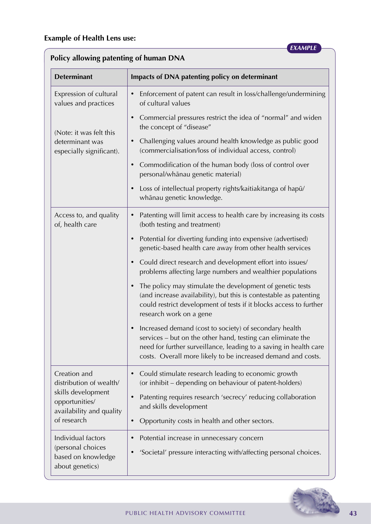| <b>Determinant</b>                                               | Impacts of DNA patenting policy on determinant                                                                                                                                                                                                             |
|------------------------------------------------------------------|------------------------------------------------------------------------------------------------------------------------------------------------------------------------------------------------------------------------------------------------------------|
| Expression of cultural<br>values and practices                   | Enforcement of patent can result in loss/challenge/undermining<br>$\bullet$<br>of cultural values                                                                                                                                                          |
| (Note: it was felt this                                          | Commercial pressures restrict the idea of "normal" and widen<br>$\bullet$<br>the concept of "disease"                                                                                                                                                      |
| determinant was<br>especially significant).                      | Challenging values around health knowledge as public good<br>$\bullet$<br>(commercialisation/loss of individual access, control)                                                                                                                           |
|                                                                  | Commodification of the human body (loss of control over<br>$\bullet$<br>personal/whānau genetic material)                                                                                                                                                  |
|                                                                  | Loss of intellectual property rights/kaitiakitanga of hapū/<br>$\bullet$<br>whānau genetic knowledge.                                                                                                                                                      |
| Access to, and quality<br>of, health care                        | Patenting will limit access to health care by increasing its costs<br>$\bullet$<br>(both testing and treatment)                                                                                                                                            |
|                                                                  | Potential for diverting funding into expensive (advertised)<br>$\bullet$<br>genetic-based health care away from other health services                                                                                                                      |
|                                                                  | Could direct research and development effort into issues/<br>$\bullet$<br>problems affecting large numbers and wealthier populations                                                                                                                       |
|                                                                  | The policy may stimulate the development of genetic tests<br>$\bullet$<br>(and increase availability), but this is contestable as patenting<br>could restrict development of tests if it blocks access to further<br>research work on a gene               |
|                                                                  | Increased demand (cost to society) of secondary health<br>services – but on the other hand, testing can eliminate the<br>need for further surveillance, leading to a saving in health care<br>costs. Overall more likely to be increased demand and costs. |
| Creation and<br>distribution of wealth/                          | Could stimulate research leading to economic growth<br>$\bullet$<br>(or inhibit - depending on behaviour of patent-holders)                                                                                                                                |
| skills development<br>opportunities/<br>availability and quality | Patenting requires research 'secrecy' reducing collaboration<br>$\bullet$<br>and skills development                                                                                                                                                        |
| of research                                                      | Opportunity costs in health and other sectors.<br>$\bullet$                                                                                                                                                                                                |
| Individual factors                                               | Potential increase in unnecessary concern<br>$\bullet$                                                                                                                                                                                                     |
| (personal choices<br>based on knowledge<br>about genetics)       | 'Societal' pressure interacting with/affecting personal choices.<br>$\bullet$                                                                                                                                                                              |



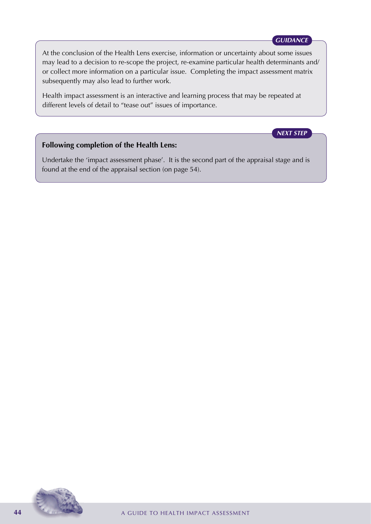

# **Following completion of the Health Lens:**

Undertake the 'impact assessment phase'. It is the second part of the appraisal stage and is found at the end of the appraisal section (on page 54).

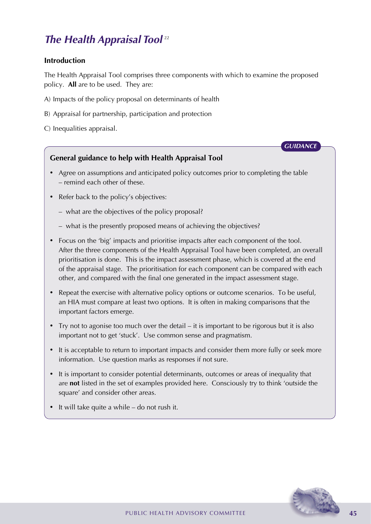# **The Health Appraisal Tool**<sup>22</sup>

# **Introduction**

The Health Appraisal Tool comprises three components with which to examine the proposed policy. **All** are to be used. They are:

- A) Impacts of the policy proposal on determinants of health
- B) Appraisal for partnership, participation and protection
- C) Inequalities appraisal.



# **General guidance to help with Health Appraisal Tool**

- Agree on assumptions and anticipated policy outcomes prior to completing the table – remind each other of these.
- Refer back to the policy's objectives:
	- what are the objectives of the policy proposal?
	- what is the presently proposed means of achieving the objectives?
- Focus on the 'big' impacts and prioritise impacts after each component of the tool. After the three components of the Health Appraisal Tool have been completed, an overall prioritisation is done. This is the impact assessment phase, which is covered at the end of the appraisal stage. The prioritisation for each component can be compared with each other, and compared with the final one generated in the impact assessment stage.
- Repeat the exercise with alternative policy options or outcome scenarios. To be useful, an HIA must compare at least two options. It is often in making comparisons that the important factors emerge.
- Try not to agonise too much over the detail it is important to be rigorous but it is also important not to get 'stuck'. Use common sense and pragmatism.
- It is acceptable to return to important impacts and consider them more fully or seek more information. Use question marks as responses if not sure.
- It is important to consider potential determinants, outcomes or areas of inequality that are **not** listed in the set of examples provided here. Consciously try to think 'outside the square' and consider other areas.
- It will take quite a while do not rush it.

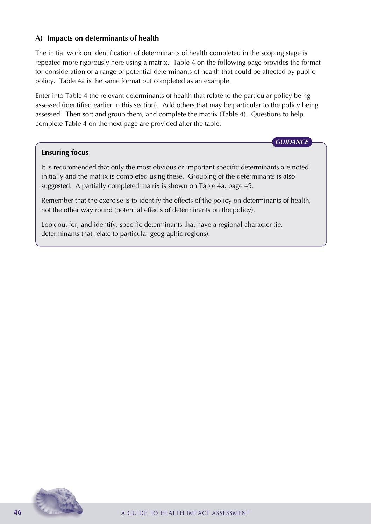# **A) Impacts on determinants of health**

The initial work on identification of determinants of health completed in the scoping stage is repeated more rigorously here using a matrix. Table 4 on the following page provides the format for consideration of a range of potential determinants of health that could be affected by public policy. Table 4a is the same format but completed as an example.

Enter into Table 4 the relevant determinants of health that relate to the particular policy being assessed (identified earlier in this section). Add others that may be particular to the policy being assessed. Then sort and group them, and complete the matrix (Table 4). Questions to help complete Table 4 on the next page are provided after the table.



#### **Ensuring focus**

It is recommended that only the most obvious or important specific determinants are noted initially and the matrix is completed using these. Grouping of the determinants is also suggested. A partially completed matrix is shown on Table 4a, page 49.

Remember that the exercise is to identify the effects of the policy on determinants of health, not the other way round (potential effects of determinants on the policy).

Look out for, and identify, specific determinants that have a regional character (ie, determinants that relate to particular geographic regions).

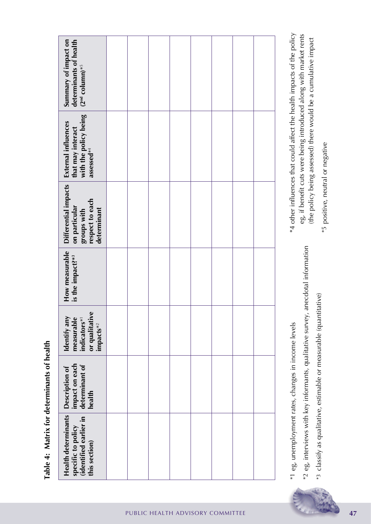| Summary of impact on<br>determinants of health<br>$(2nd column)*5$                          |  |  |  |  |
|---------------------------------------------------------------------------------------------|--|--|--|--|
| that may interact<br>with the policy being<br>External influences<br>assessed* <sup>4</sup> |  |  |  |  |
| Differential impacts<br>respect to each<br>on particular<br>determinant<br>groups with      |  |  |  |  |
| How measurable<br>is the impact?*3                                                          |  |  |  |  |
| or qualitative<br>measurable<br>indicators*1<br>Identify any<br>impacts*2                   |  |  |  |  |
| impact on each<br>determinant of<br>Description of<br>health                                |  |  |  |  |
| Health determinants<br>specific to policy<br>(identified earlier in<br>this section)        |  |  |  |  |

**Table 4: Matrix for determinants of health**  Table 4: Matrix for determinants of health

- \*1 eg, unemployment rates, changes in income levels \*1 eg, unemployment rates, changes in income levels
- \*2 eg, interviews with key informants, qualitative survey, anecdotal information \*2 eg, interviews with key informants, qualitative survey, anecdotal information
- \*3 classify as qualitative, estimable or measurable (quantitative) \*3 classify as qualitative, estimable or measurable (quantitative)
- \*4 other influences that could affect the health impacts of the policy \*4 other infl uences that could affect the health impacts of the policy eg, if benefit cuts were being introduced along with market rents eg, if benefit cuts were being introduced along with market rents (the policy being assessed) there would be a cumulative impact (the policy being assessed) there would be a cumulative impact
- \*5 positive, neutral or negative \*5 positive, neutral or negative

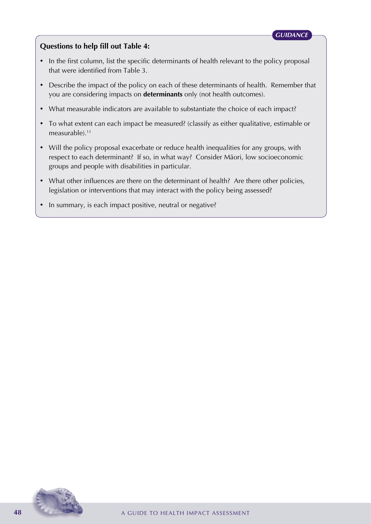# **Questions to help fill out Table 4:**

- In the first column, list the specific determinants of health relevant to the policy proposal that were identified from Table 3.
- Describe the impact of the policy on each of these determinants of health. Remember that you are considering impacts on **determinants** only (not health outcomes).
- What measurable indicators are available to substantiate the choice of each impact?
- To what extent can each impact be measured? (classify as either qualitative, estimable or measurable).<sup>13</sup>
- Will the policy proposal exacerbate or reduce health inequalities for any groups, with respect to each determinant? If so, in what way? Consider Mäori, low socioeconomic groups and people with disabilities in particular.
- What other influences are there on the determinant of health? Are there other policies, legislation or interventions that may interact with the policy being assessed?
- In summary, is each impact positive, neutral or negative?

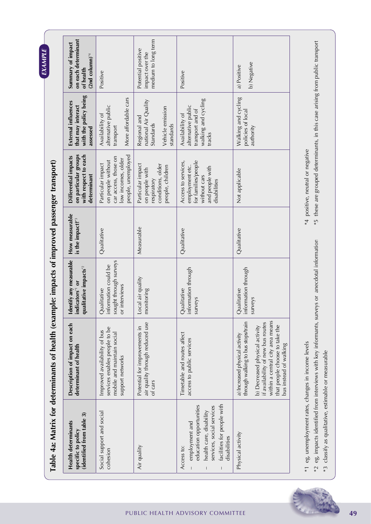|                                                                                                                                                                                                                                                                                                                                                                                                                                                                                                                                                                               | Table 4a: Matrix for determinants of health (example: impacts of improved passenger transport)                                                                                                                                              |                                                                                                           |                                               |                                                                                                                  |                                                                                            |                                                                             |
|-------------------------------------------------------------------------------------------------------------------------------------------------------------------------------------------------------------------------------------------------------------------------------------------------------------------------------------------------------------------------------------------------------------------------------------------------------------------------------------------------------------------------------------------------------------------------------|---------------------------------------------------------------------------------------------------------------------------------------------------------------------------------------------------------------------------------------------|-----------------------------------------------------------------------------------------------------------|-----------------------------------------------|------------------------------------------------------------------------------------------------------------------|--------------------------------------------------------------------------------------------|-----------------------------------------------------------------------------|
| (identified from table 3)<br>Health determinants<br>specific to policy                                                                                                                                                                                                                                                                                                                                                                                                                                                                                                        | Description of impact on each<br>determinant of health                                                                                                                                                                                      | Identify any measurable<br>indicators <sup><math>\pi</math></sup> or<br>qualitative impacts" <sup>2</sup> | How measurable<br>is the impact? <sup>3</sup> | on particular groups<br>with respect to each<br>Differential impacts<br>determinant                              | with the policy being<br><b>External influences</b><br>that may interact<br>assessed       | on each determinant<br>Summary of impact<br>$(2nd$ column) $4$<br>of health |
| Social support and social<br>cohesion                                                                                                                                                                                                                                                                                                                                                                                                                                                                                                                                         | services enables people to be<br>Improved availability of bus<br>mobile and maintain social<br>support networks                                                                                                                             | sought through surveys<br>Qualitative<br>information could be<br>or interviews                            | Qualitative                                   | people, unemployed<br>car access, those on<br>low incomes, older<br>on people without<br>Particular impact       | More affordable cars<br>alternative public<br>Availability of<br>transport                 | Positive                                                                    |
| Air quality                                                                                                                                                                                                                                                                                                                                                                                                                                                                                                                                                                   | air quality through reduced use<br>Potential for improvements in<br>of cars                                                                                                                                                                 | Local air quality<br>monitoring                                                                           | Measurable                                    | Particular impact<br>conditions, older<br>people, children<br>on people with<br>respiratory                      | national Air Quality<br>Vehicle emission<br>Regional and<br>Standards<br>standards         | medium to long term<br>Potential positive<br>impact over the                |
| facilities for people with<br>education opportunities<br>services, social services<br>health care, disability<br>employment and<br>disabilities<br>Access to:<br>$\begin{array}{c} \rule{0pt}{2.5ex} \rule{0pt}{2.5ex} \rule{0pt}{2.5ex} \rule{0pt}{2.5ex} \rule{0pt}{2.5ex} \rule{0pt}{2.5ex} \rule{0pt}{2.5ex} \rule{0pt}{2.5ex} \rule{0pt}{2.5ex} \rule{0pt}{2.5ex} \rule{0pt}{2.5ex} \rule{0pt}{2.5ex} \rule{0pt}{2.5ex} \rule{0pt}{2.5ex} \rule{0pt}{2.5ex} \rule{0pt}{2.5ex} \rule{0pt}{2.5ex} \rule{0pt}{2.5ex} \rule{0pt}{2.5ex} \rule{0$<br>$\overline{\phantom{a}}$ | Timetable and routes affect<br>access to public services                                                                                                                                                                                    | Qualitative<br>information through<br>surveys                                                             | Qualitative                                   | for families/people<br>Access to services,<br>employment etc.<br>and people with<br>without cars<br>disabilities | walking and cycling<br>alternative public<br>transport and of<br>Availability of<br>tracks | Positive                                                                    |
| Physical activity                                                                                                                                                                                                                                                                                                                                                                                                                                                                                                                                                             | within a central city area means<br>through walking to bus stops/train<br>if availability of new bus routes<br>that people choose to take the<br>b) Decreased physical activity<br>a) Increased physical activity<br>bus instead of walking | Qualitative<br>information through<br>surveys                                                             | Qualitative                                   | Not applicable                                                                                                   | Walking and cycling<br>policies of local<br>authority                                      | b) Negative<br>a) Positive                                                  |

**EXAMPLE**

**EXAMPLE** 

\*1 eg, unemployment rates, changes in income levels \*1 eg, unemployment rates, changes in income levels

\*2 eg, impacts identified from interviews with key informants, surveys or anecdotal information  $*2$  eg, impacts identified from interviews with key informants, surveys or anecdotal information

\*3 classify as qualitative, estimable or measurable \*3 classify as qualitative, estimable or measurable

\*4 positive, neutral or negative \*4 positive, neutral or negative

\*5 these are grouped determinants, in this case arising from public transport \*5 these are grouped determinants, in this case arising from public transport

PUBLIC HEALTH ADVISORY COMMITTEE **49** 

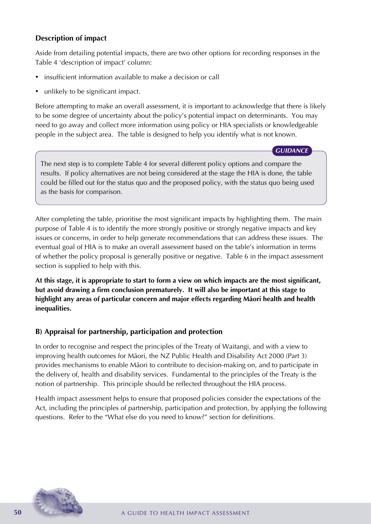# **Description of impact**

Aside from detailing potential impacts, there are two other options for recording responses in the Table 4 'description of impact' column:

- insufficient information available to make a decision or call
- unlikely to be significant impact.

Before attempting to make an overall assessment, it is important to acknowledge that there is likely to be some degree of uncertainty about the policy's potential impact on determinants. You may need to go away and collect more information using policy or HIA specialists or knowledgeable people in the subject area. The table is designed to help you identify what is not known.

**GUIDANCE**

The next step is to complete Table 4 for several different policy options and compare the results. If policy alternatives are not being considered at the stage the HIA is done, the table could be filled out for the status quo and the proposed policy, with the status quo being used as the basis for comparison.

After completing the table, prioritise the most significant impacts by highlighting them. The main purpose of Table 4 is to identify the more strongly positive or strongly negative impacts and key issues or concerns, in order to help generate recommendations that can address these issues. The eventual goal of HIA is to make an overall assessment based on the table's information in terms of whether the policy proposal is generally positive or negative. Table 6 in the impact assessment section is supplied to help with this.

At this stage, it is appropriate to start to form a view on which impacts are the most significant, but avoid drawing a firm conclusion prematurely. It will also be important at this stage to **highlight any areas of particular concern and major effects regarding Mäori health and health inequalities.** 

# **B) Appraisal for partnership, participation and protection**

In order to recognise and respect the principles of the Treaty of Waitangi, and with a view to improving health outcomes for Mäori, the NZ Public Health and Disability Act 2000 (Part 3) provides mechanisms to enable Mäori to contribute to decision-making on, and to participate in the delivery of, health and disability services. Fundamental to the principles of the Treaty is the notion of partnership. This principle should be reflected throughout the HIA process.

Health impact assessment helps to ensure that proposed policies consider the expectations of the Act, including the principles of partnership, participation and protection, by applying the following questions. Refer to the "What else do you need to know?" section for definitions.

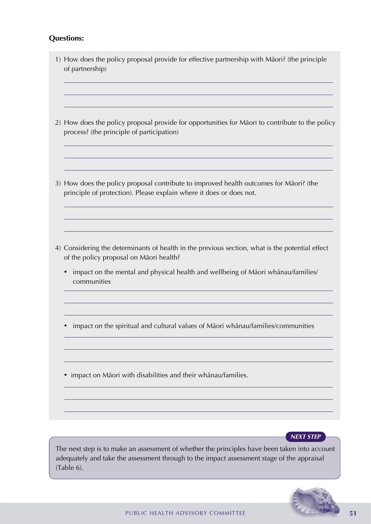#### **Questions:**

(Table 6).

1) How does the policy proposal provide for effective partnership with Mäori? (the principle of partnership) 2) How does the policy proposal provide for opportunities for Mäori to contribute to the policy process? (the principle of participation) 3) How does the policy proposal contribute to improved health outcomes for Mäori? (the principle of protection). Please explain where it does or does not. 4) Considering the determinants of health in the previous section, what is the potential effect of the policy proposal on Mäori health? • impact on the mental and physical health and wellbeing of Māori whānau/families/ communities • impact on the spiritual and cultural values of Mäori whänau/families/communities • impact on Māori with disabilities and their whānau/families. **NEXT STEP** The next step is to make an assessment of whether the principles have been taken into account



adequately and take the assessment through to the impact assessment stage of the appraisal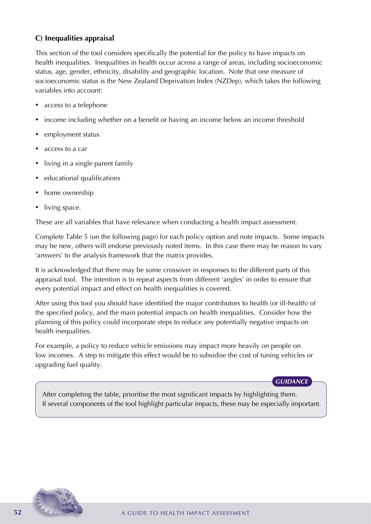# **C) Inequalities appraisal**

This section of the tool considers specifically the potential for the policy to have impacts on health inequalities. Inequalities in health occur across a range of areas, including socioeconomic status, age, gender, ethnicity, disability and geographic location. Note that one measure of socioeconomic status is the New Zealand Deprivation Index (NZDep), which takes the following variables into account:

- access to a telephone
- income including whether on a benefit or having an income below an income threshold
- employment status
- access to a car
- living in a single parent family
- educational qualifications
- home ownership
- living space.

These are all variables that have relevance when conducting a health impact assessment.

Complete Table 5 (on the following page) for each policy option and note impacts. Some impacts may be new, others will endorse previously noted items. In this case there may be reason to vary 'answers' to the analysis framework that the matrix provides.

It is acknowledged that there may be some crossover in responses to the different parts of this appraisal tool. The intention is to repeat aspects from different 'angles' in order to ensure that every potential impact and effect on health inequalities is covered.

After using this tool you should have identified the major contributors to health (or ill-health) of the specified policy, and the main potential impacts on health inequalities. Consider how the planning of this policy could incorporate steps to reduce any potentially negative impacts on health inequalities.

For example, a policy to reduce vehicle emissions may impact more heavily on people on low incomes. A step to mitigate this effect would be to subsidise the cost of tuning vehicles or upgrading fuel quality.

**GUIDANCE**

After completing the table, prioritise the most significant impacts by highlighting them. If several components of the tool highlight particular impacts, these may be especially important.

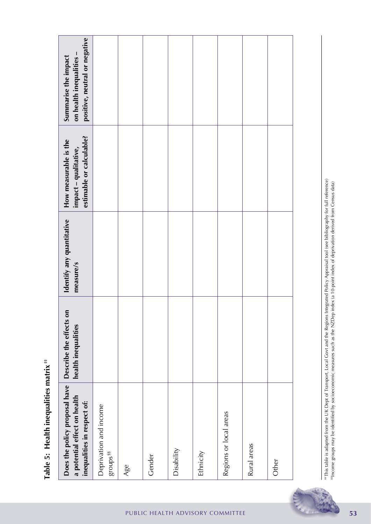| Does the policy proposal have<br>a potential effect on health<br>inequalities in respect of: | Describe the effects on<br>health inequalities | Identify any quantitative<br>measure/s | estimable or calculable?<br>How measurable is the<br>impact - qualitative, | positive, neutral or negative<br>on health inequalities -<br>Summarise the impact |
|----------------------------------------------------------------------------------------------|------------------------------------------------|----------------------------------------|----------------------------------------------------------------------------|-----------------------------------------------------------------------------------|
| Deprivation and income<br>groups <sup>ss</sup>                                               |                                                |                                        |                                                                            |                                                                                   |
| Age                                                                                          |                                                |                                        |                                                                            |                                                                                   |
| Gender                                                                                       |                                                |                                        |                                                                            |                                                                                   |
| Disability                                                                                   |                                                |                                        |                                                                            |                                                                                   |
| Ethnicity                                                                                    |                                                |                                        |                                                                            |                                                                                   |
| Regions or local areas                                                                       |                                                |                                        |                                                                            |                                                                                   |
| Rural areas                                                                                  |                                                |                                        |                                                                            |                                                                                   |
| Other                                                                                        |                                                |                                        |                                                                            |                                                                                   |

Table 5: Health inequalities matrix<sup>#</sup> **Table 5: Health inequalities matrix** ‡‡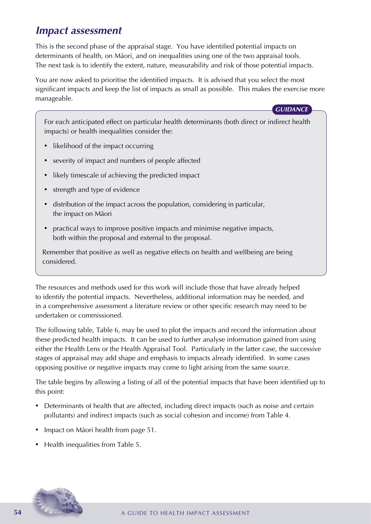# **Impact assessment**

This is the second phase of the appraisal stage. You have identified potential impacts on determinants of health, on Mäori, and on inequalities using one of the two appraisal tools. The next task is to identify the extent, nature, measurability and risk of those potential impacts.

You are now asked to prioritise the identified impacts. It is advised that you select the most significant impacts and keep the list of impacts as small as possible. This makes the exercise more manageable.

**GUIDANCE**

 For each anticipated effect on particular health determinants (both direct or indirect health impacts) or health inequalities consider the:

- likelihood of the impact occurring
- severity of impact and numbers of people affected
- likely timescale of achieving the predicted impact
- strength and type of evidence
- distribution of the impact across the population, considering in particular, the impact on Mäori
- practical ways to improve positive impacts and minimise negative impacts, both within the proposal and external to the proposal.

Remember that positive as well as negative effects on health and wellbeing are being considered.

The resources and methods used for this work will include those that have already helped to identify the potential impacts. Nevertheless, additional information may be needed, and in a comprehensive assessment a literature review or other specific research may need to be undertaken or commissioned.

The following table, Table 6, may be used to plot the impacts and record the information about these predicted health impacts. It can be used to further analyse information gained from using either the Health Lens or the Health Appraisal Tool. Particularly in the latter case, the successive stages of appraisal may add shape and emphasis to impacts already identified. In some cases opposing positive or negative impacts may come to light arising from the same source.

The table begins by allowing a listing of all of the potential impacts that have been identified up to this point:

- Determinants of health that are affected, including direct impacts (such as noise and certain pollutants) and indirect impacts (such as social cohesion and income) from Table 4.
- Impact on Mäori health from page 51.
- Health inequalities from Table 5.

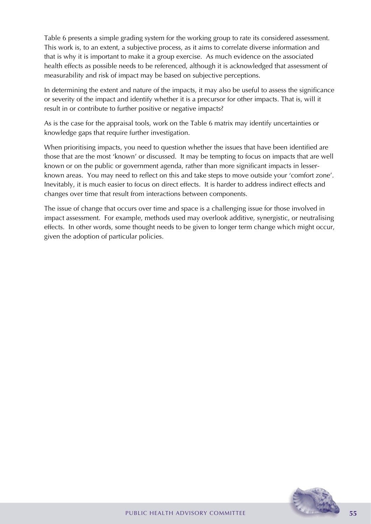Table 6 presents a simple grading system for the working group to rate its considered assessment. This work is, to an extent, a subjective process, as it aims to correlate diverse information and that is why it is important to make it a group exercise. As much evidence on the associated health effects as possible needs to be referenced, although it is acknowledged that assessment of measurability and risk of impact may be based on subjective perceptions.

In determining the extent and nature of the impacts, it may also be useful to assess the significance or severity of the impact and identify whether it is a precursor for other impacts. That is, will it result in or contribute to further positive or negative impacts?

As is the case for the appraisal tools, work on the Table 6 matrix may identify uncertainties or knowledge gaps that require further investigation.

When prioritising impacts, you need to question whether the issues that have been identified are those that are the most 'known' or discussed. It may be tempting to focus on impacts that are well known or on the public or government agenda, rather than more significant impacts in lesserknown areas. You may need to reflect on this and take steps to move outside your 'comfort zone'. Inevitably, it is much easier to focus on direct effects. It is harder to address indirect effects and changes over time that result from interactions between components.

The issue of change that occurs over time and space is a challenging issue for those involved in impact assessment. For example, methods used may overlook additive, synergistic, or neutralising effects. In other words, some thought needs to be given to longer term change which might occur, given the adoption of particular policies.

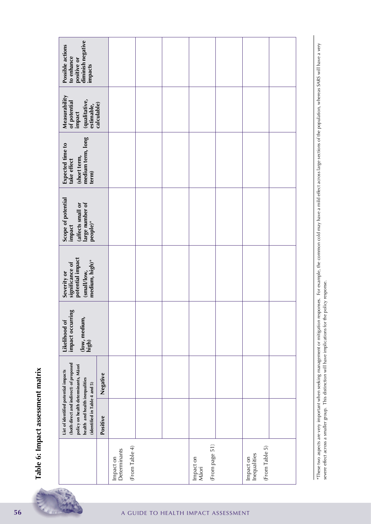|                                   | diminish negative<br>Possible actions<br>to enhance<br>positive or<br>impacts                                                                   |             |                                             |                                     |                                      |                                             |  |
|-----------------------------------|-------------------------------------------------------------------------------------------------------------------------------------------------|-------------|---------------------------------------------|-------------------------------------|--------------------------------------|---------------------------------------------|--|
|                                   | Measurability<br>(qualitative,<br>of potential<br>estimable,<br>impact                                                                          | calculable) |                                             |                                     |                                      |                                             |  |
|                                   | medium term, long<br>Expected time to<br>(short term,<br>take effect<br>term)                                                                   |             |                                             |                                     |                                      |                                             |  |
|                                   | Scope of potential<br>large number of<br>(affects small or<br>people)*<br>impact                                                                |             |                                             |                                     |                                      |                                             |  |
|                                   | potential impact<br>(small/low,<br>medium, high)*<br>significance of<br>Severity or                                                             |             |                                             |                                     |                                      |                                             |  |
|                                   | ηg<br>impact occurri<br>(low, medium,<br>high)<br>Likelihood of                                                                                 |             |                                             |                                     |                                      |                                             |  |
|                                   | (both direct and indirect) of proposed                                                                                                          | Negative    |                                             |                                     |                                      |                                             |  |
|                                   | policy on health determinants, Māori<br>List of identified potential impacts<br>health and health inequalities<br>(identified in Table 4 and 5) | Positive    |                                             |                                     |                                      |                                             |  |
| Table 6: Impact assessment matrix |                                                                                                                                                 |             | (From Table 4)<br>Determinants<br>Impact on |                                     | (From page 51)<br>Impact on<br>Māori | (From Table 5)<br>Impact on<br>Inequalities |  |
| 56                                |                                                                                                                                                 |             |                                             | A GUIDE TO HEALTH IMPACT ASSESSMENT |                                      |                                             |  |

\*These two aspects are very important when seeking management or mitigation responses. For example, the common cold may have a mild effect across large sections of the population, whereas SARS will have a very<br>severe effec \*These two aspects are very important when seeking management or mitigation responses. For example, the common cold may have a mild effect across large sections of the population, whereas SARS will have a very severe effect across a smaller group. This distinction will have implications for the policy response.

# **Table 6: Impact assessment matrix**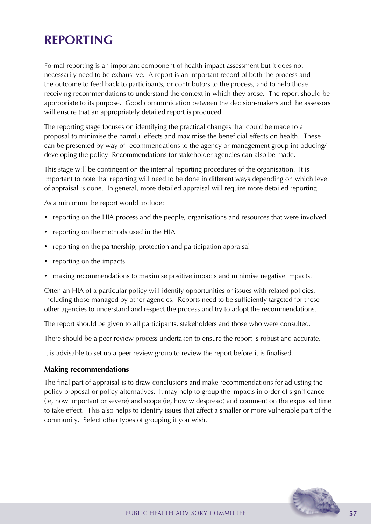# **REPORTING**

Formal reporting is an important component of health impact assessment but it does not necessarily need to be exhaustive. A report is an important record of both the process and the outcome to feed back to participants, or contributors to the process, and to help those receiving recommendations to understand the context in which they arose. The report should be appropriate to its purpose. Good communication between the decision-makers and the assessors will ensure that an appropriately detailed report is produced.

The reporting stage focuses on identifying the practical changes that could be made to a proposal to minimise the harmful effects and maximise the beneficial effects on health. These can be presented by way of recommendations to the agency or management group introducing/ developing the policy. Recommendations for stakeholder agencies can also be made.

This stage will be contingent on the internal reporting procedures of the organisation. It is important to note that reporting will need to be done in different ways depending on which level of appraisal is done. In general, more detailed appraisal will require more detailed reporting.

As a minimum the report would include:

- reporting on the HIA process and the people, organisations and resources that were involved
- reporting on the methods used in the HIA
- reporting on the partnership, protection and participation appraisal
- reporting on the impacts
- making recommendations to maximise positive impacts and minimise negative impacts.

Often an HIA of a particular policy will identify opportunities or issues with related policies, including those managed by other agencies. Reports need to be sufficiently targeted for these other agencies to understand and respect the process and try to adopt the recommendations.

The report should be given to all participants, stakeholders and those who were consulted.

There should be a peer review process undertaken to ensure the report is robust and accurate.

It is advisable to set up a peer review group to review the report before it is finalised.

### **Making recommendations**

The final part of appraisal is to draw conclusions and make recommendations for adjusting the policy proposal or policy alternatives. It may help to group the impacts in order of significance (ie, how important or severe) and scope (ie, how widespread) and comment on the expected time to take effect. This also helps to identify issues that affect a smaller or more vulnerable part of the community. Select other types of grouping if you wish.

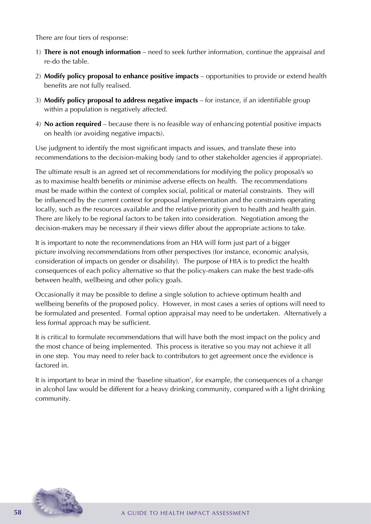There are four tiers of response:

- 1) **There is not enough information** need to seek further information, continue the appraisal and re-do the table.
- 2) **Modify policy proposal to enhance positive impacts** opportunities to provide or extend health benefits are not fully realised.
- 3) Modify policy proposal to address negative impacts for instance, if an identifiable group within a population is negatively affected.
- 4) **No action required** because there is no feasible way of enhancing potential positive impacts on health (or avoiding negative impacts).

Use judgment to identify the most significant impacts and issues, and translate these into recommendations to the decision-making body (and to other stakeholder agencies if appropriate).

The ultimate result is an agreed set of recommendations for modifying the policy proposal/s so as to maximise health benefits or minimise adverse effects on health. The recommendations must be made within the context of complex social, political or material constraints. They will be influenced by the current context for proposal implementation and the constraints operating locally, such as the resources available and the relative priority given to health and health gain. There are likely to be regional factors to be taken into consideration. Negotiation among the decision-makers may be necessary if their views differ about the appropriate actions to take.

It is important to note the recommendations from an HIA will form just part of a bigger picture involving recommendations from other perspectives (for instance, economic analysis, consideration of impacts on gender or disability). The purpose of HIA is to predict the health consequences of each policy alternative so that the policy-makers can make the best trade-offs between health, wellbeing and other policy goals.

Occasionally it may be possible to define a single solution to achieve optimum health and wellbeing benefits of the proposed policy. However, in most cases a series of options will need to be formulated and presented. Formal option appraisal may need to be undertaken. Alternatively a less formal approach may be sufficient.

It is critical to formulate recommendations that will have both the most impact on the policy and the most chance of being implemented. This process is iterative so you may not achieve it all in one step. You may need to refer back to contributors to get agreement once the evidence is factored in.

It is important to bear in mind the 'baseline situation', for example, the consequences of a change in alcohol law would be different for a heavy drinking community, compared with a light drinking community.

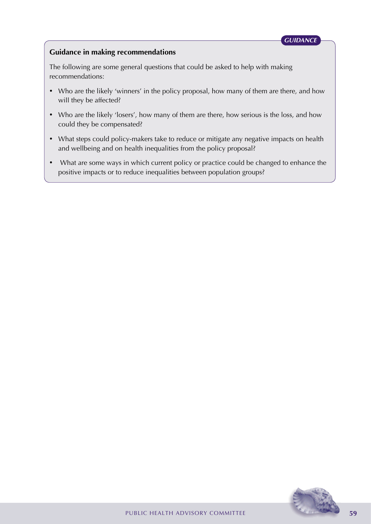

# **Guidance in making recommendations**

The following are some general questions that could be asked to help with making recommendations:

- Who are the likely 'winners' in the policy proposal, how many of them are there, and how will they be affected?
- Who are the likely 'losers', how many of them are there, how serious is the loss, and how could they be compensated?
- What steps could policy-makers take to reduce or mitigate any negative impacts on health and wellbeing and on health inequalities from the policy proposal?
- What are some ways in which current policy or practice could be changed to enhance the positive impacts or to reduce inequalities between population groups?

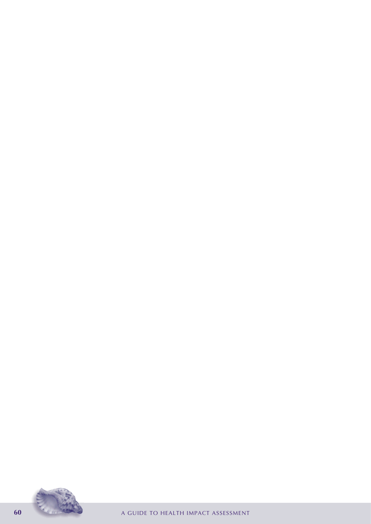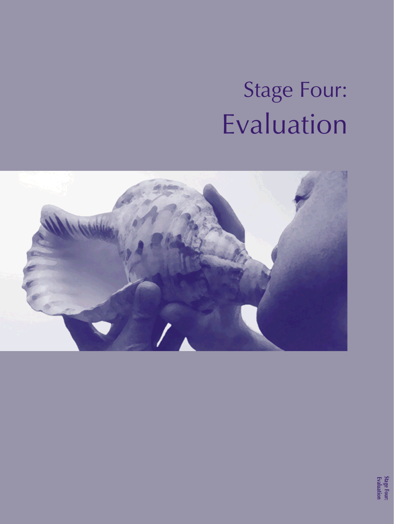# Stage Four: Evaluation

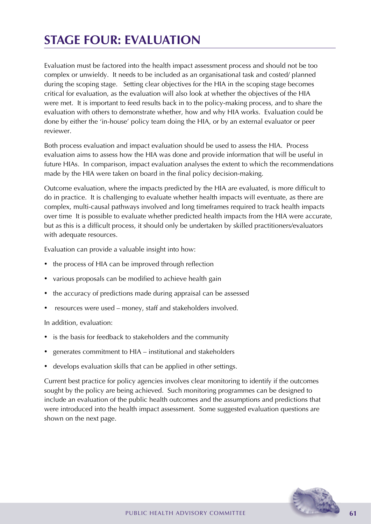## **STAGE FOUR: EVALUATION**

Evaluation must be factored into the health impact assessment process and should not be too complex or unwieldy. It needs to be included as an organisational task and costed/ planned during the scoping stage. Setting clear objectives for the HIA in the scoping stage becomes critical for evaluation, as the evaluation will also look at whether the objectives of the HIA were met. It is important to feed results back in to the policy-making process, and to share the evaluation with others to demonstrate whether, how and why HIA works. Evaluation could be done by either the 'in-house' policy team doing the HIA, or by an external evaluator or peer reviewer.

Both process evaluation and impact evaluation should be used to assess the HIA. Process evaluation aims to assess how the HIA was done and provide information that will be useful in future HIAs. In comparison, impact evaluation analyses the extent to which the recommendations made by the HIA were taken on board in the final policy decision-making.

Outcome evaluation, where the impacts predicted by the HIA are evaluated, is more difficult to do in practice. It is challenging to evaluate whether health impacts will eventuate, as there are complex, multi-causal pathways involved and long timeframes required to track health impacts over time It is possible to evaluate whether predicted health impacts from the HIA were accurate, but as this is a difficult process, it should only be undertaken by skilled practitioners/evaluators with adequate resources.

Evaluation can provide a valuable insight into how:

- the process of HIA can be improved through reflection
- various proposals can be modified to achieve health gain
- the accuracy of predictions made during appraisal can be assessed
- resources were used money, staff and stakeholders involved.

In addition, evaluation:

- is the basis for feedback to stakeholders and the community
- generates commitment to HIA institutional and stakeholders
- develops evaluation skills that can be applied in other settings.

Current best practice for policy agencies involves clear monitoring to identify if the outcomes sought by the policy are being achieved. Such monitoring programmes can be designed to include an evaluation of the public health outcomes and the assumptions and predictions that were introduced into the health impact assessment. Some suggested evaluation questions are shown on the next page.

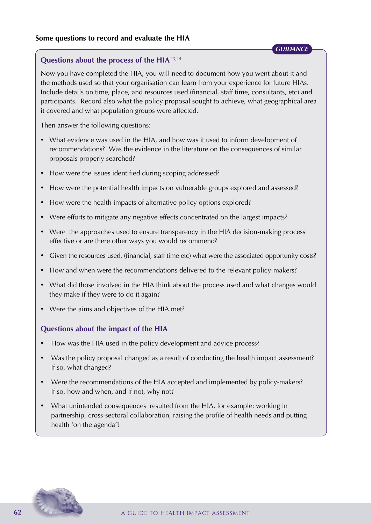#### **Questions about the process of the HIA**23,24

Now you have completed the HIA, you will need to document how you went about it and the methods used so that your organisation can learn from your experience for future HIAs. Include details on time, place, and resources used (financial, staff time, consultants, etc) and participants. Record also what the policy proposal sought to achieve, what geographical area it covered and what population groups were affected.

**GUIDANCE**

Then answer the following questions:

- What evidence was used in the HIA, and how was it used to inform development of recommendations? Was the evidence in the literature on the consequences of similar proposals properly searched?
- How were the issues identified during scoping addressed?
- How were the potential health impacts on vulnerable groups explored and assessed?
- How were the health impacts of alternative policy options explored?
- Were efforts to mitigate any negative effects concentrated on the largest impacts?
- Were the approaches used to ensure transparency in the HIA decision-making process effective or are there other ways you would recommend?
- Given the resources used, (financial, staff time etc) what were the associated opportunity costs?
- How and when were the recommendations delivered to the relevant policy-makers?
- What did those involved in the HIA think about the process used and what changes would they make if they were to do it again?
- Were the aims and objectives of the HIA met?

#### **Questions about the impact of the HIA**

- How was the HIA used in the policy development and advice process?
- Was the policy proposal changed as a result of conducting the health impact assessment? If so, what changed?
- Were the recommendations of the HIA accepted and implemented by policy-makers? If so, how and when, and if not, why not?
- What unintended consequences resulted from the HIA, for example: working in partnership, cross-sectoral collaboration, raising the profile of health needs and putting health 'on the agenda'?

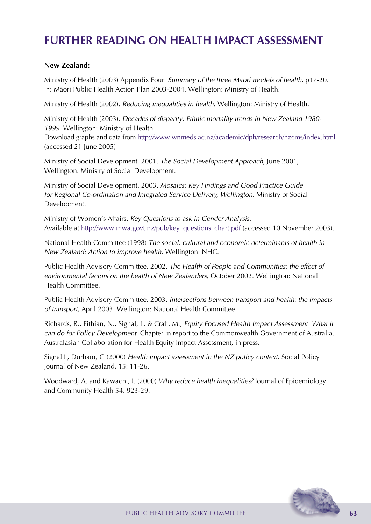### **FURTHER READING ON HEALTH IMPACT ASSESSMENT**

#### **New Zealand:**

Ministry of Health (2003) Appendix Four: Summary of the three Maori models of health, p17-20. In: Mäori Public Health Action Plan 2003-2004. Wellington: Ministry of Health.

Ministry of Health (2002). Reducing inequalities in health. Wellington: Ministry of Health.

Ministry of Health (2003). Decades of disparity: Ethnic mortality trends in New Zealand 1980- 1999. Wellington: Ministry of Health.

Download graphs and data from http://www.wnmeds.ac.nz/academic/dph/research/nzcms/index.html (accessed 21 June 2005)

Ministry of Social Development. 2001. The Social Development Approach, June 2001, Wellington: Ministry of Social Development.

Ministry of Social Development. 2003. Mosaics: Key Findings and Good Practice Guide for Regional Co-ordination and Integrated Service Delivery, Wellington: Ministry of Social Development.

Ministry of Women's Affairs. Key Questions to ask in Gender Analysis. Available at http://www.mwa.govt.nz/pub/key\_questions\_chart.pdf (accessed 10 November 2003).

National Health Committee (1998) The social, cultural and economic determinants of health in New Zealand: Action to improve health. Wellington: NHC.

Public Health Advisory Committee. 2002. The Health of People and Communities: the effect of environmental factors on the health of New Zealanders, October 2002. Wellington: National Health Committee.

Public Health Advisory Committee. 2003. Intersections between transport and health: the impacts of transport, April 2003. Wellington: National Health Committee.

Richards, R., Fithian, N., Signal, L. & Craft, M., Equity Focused Health Impact Assessment What it can do for Policy Development. Chapter in report to the Commonwealth Government of Australia. Australasian Collaboration for Health Equity Impact Assessment, in press.

Signal L, Durham, G (2000) Health impact assessment in the NZ policy context. Social Policy Journal of New Zealand, 15: 11-26.

Woodward, A. and Kawachi, I. (2000) Why reduce health inequalities? Journal of Epidemiology and Community Health 54: 923-29.

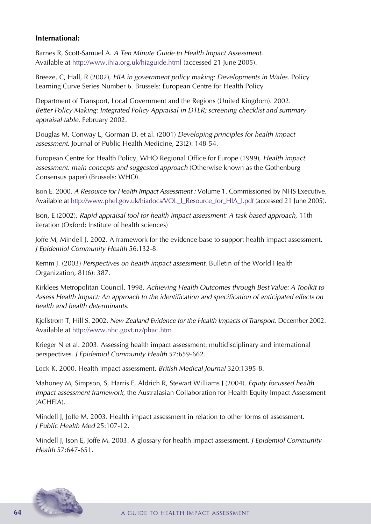#### **International:**

Barnes R, Scott-Samuel A. A Ten Minute Guide to Health Impact Assessment. Available at http://www.ihia.org.uk/hiaguide.html (accessed 21 June 2005).

Breeze, C, Hall, R (2002), HIA in government policy making: Developments in Wales. Policy Learning Curve Series Number 6. Brussels: European Centre for Health Policy

Department of Transport, Local Government and the Regions (United Kingdom). 2002. Better Policy Making: Integrated Policy Appraisal in DTLR; screening checklist and summary appraisal table. February 2002.

Douglas M, Conway L, Gorman D, et al. (2001) Developing principles for health impact assessment. Journal of Public Health Medicine, 23(2): 148-54.

European Centre for Health Policy, WHO Regional Office for Europe (1999), Health impact assessment: main concepts and suggested approach (Otherwise known as the Gothenburg Consensus paper) (Brussels: WHO).

Ison E. 2000. A Resource for Health Impact Assessment : Volume 1. Commissioned by NHS Executive. Available at http://www.phel.gov.uk/hiadocs/VOL\_I\_Resource\_for\_HIA\_l.pdf (accessed 21 June 2005).

Ison, E (2002), Rapid appraisal tool for health impact assessment: A task based approach, 11th iteration (Oxford: Institute of health sciences)

Joffe M, Mindell J. 2002. A framework for the evidence base to support health impact assessment. J Epidemiol Community Health 56:132-8.

Kemm J. (2003) Perspectives on health impact assessment. Bulletin of the World Health Organization, 81(6): 387.

Kirklees Metropolitan Council. 1998. Achieving Health Outcomes through Best Value: A Toolkit to Assess Health Impact: An approach to the identification and specification of anticipated effects on health and health determinants.

Kjellstrom T, Hill S. 2002. New Zealand Evidence for the Health Impacts of Transport, December 2002. Available at http://www.nhc.govt.nz/phac.htm

Krieger N et al. 2003. Assessing health impact assessment: multidisciplinary and international perspectives. J Epidemiol Community Health 57:659-662.

Lock K. 2000. Health impact assessment. British Medical Journal 320:1395-8.

Mahoney M, Simpson, S, Harris E, Aldrich R, Stewart Williams J (2004). Equity focussed health impact assessment framework, the Australasian Collaboration for Health Equity Impact Assessment (ACHEIA).

Mindell J, Joffe M. 2003. Health impact assessment in relation to other forms of assessment. J Public Health Med 25:107-12.

Mindell J, Ison E, Joffe M. 2003. A glossary for health impact assessment. J Epidemiol Community Health 57:647-651.

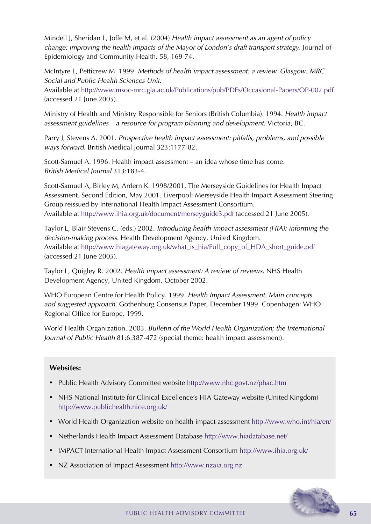Mindell J, Sheridan L, Joffe M, et al. (2004) Health impact assessment as an agent of policy change: improving the health impacts of the Mayor of London's draft transport strategy. Journal of Epidemiology and Community Health, 58, 169-74.

McIntyre L, Petticrew M. 1999. Methods of health impact assessment: a review. Glasgow: MRC Social and Public Health Sciences Unit.

Available at http://www.msoc-mrc.gla.ac.uk/Publications/pub/PDFs/Occasional-Papers/OP-002.pdf (accessed 21 June 2005).

Ministry of Health and Ministry Responsible for Seniors (British Columbia). 1994. Health impact assessment guidelines – a resource for program planning and development. Victoria, BC.

Parry J, Stevens A. 2001. Prospective health impact assessment: pitfalls, problems, and possible ways forward. British Medical Journal 323:1177-82.

Scott-Samuel A. 1996. Health impact assessment – an idea whose time has come. British Medical Journal 313:183-4.

Scott-Samuel A, Birley M, Ardern K. 1998/2001. The Merseyside Guidelines for Health Impact Assessment. Second Edition, May 2001. Liverpool: Merseyside Health Impact Assessment Steering Group reissued by International Health Impact Assessment Consortium. Available at http://www.ihia.org.uk/document/merseyguide3.pdf (accessed 21 June 2005).

Taylor L, Blair-Stevens C. (eds.) 2002. Introducing health impact assessment (HIA); informing the decision-making process. Health Development Agency, United Kingdom. Available at http://www.hiagateway.org.uk/what\_is\_hia/Full\_copy\_of\_HDA\_short\_guide.pdf (accessed 21 June 2005).

Taylor L, Quigley R. 2002. Health impact assessment: A review of reviews, NHS Health Development Agency, United Kingdom, October 2002.

WHO European Centre for Health Policy. 1999. Health Impact Assessment. Main concepts and suggested approach. Gothenburg Consensus Paper, December 1999. Copenhagen: WHO Regional Office for Europe, 1999.

World Health Organization. 2003. Bulletin of the World Health Organization; the International Journal of Public Health 81:6:387-472 (special theme: health impact assessment).

#### **Websites:**

- Public Health Advisory Committee website http://www.nhc.govt.nz/phac.htm
- NHS National Institute for Clinical Excellence's HIA Gateway website (United Kingdom) http://www.publichealth.nice.org.uk/
- World Health Organization website on health impact assessment http://www.who.int/hia/en/
- Netherlands Health Impact Assessment Database http://www.hiadatabase.net/
- IMPACT International Health Impact Assessment Consortium http://www.ihia.org.uk/
- NZ Association of Impact Assessment http://www.nzaia.org.nz

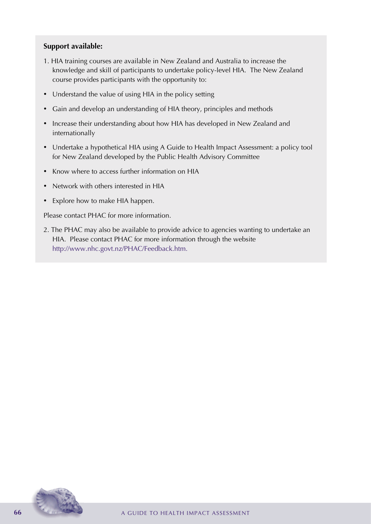#### **Support available:**

- 1. HIA training courses are available in New Zealand and Australia to increase the knowledge and skill of participants to undertake policy-level HIA. The New Zealand course provides participants with the opportunity to:
- Understand the value of using HIA in the policy setting
- Gain and develop an understanding of HIA theory, principles and methods
- Increase their understanding about how HIA has developed in New Zealand and internationally
- Undertake a hypothetical HIA using A Guide to Health Impact Assessment: a policy tool for New Zealand developed by the Public Health Advisory Committee
- Know where to access further information on HIA
- Network with others interested in HIA
- Explore how to make HIA happen.

Please contact PHAC for more information.

2. The PHAC may also be available to provide advice to agencies wanting to undertake an HIA. Please contact PHAC for more information through the website http://www.nhc.govt.nz/PHAC/Feedback.htm.

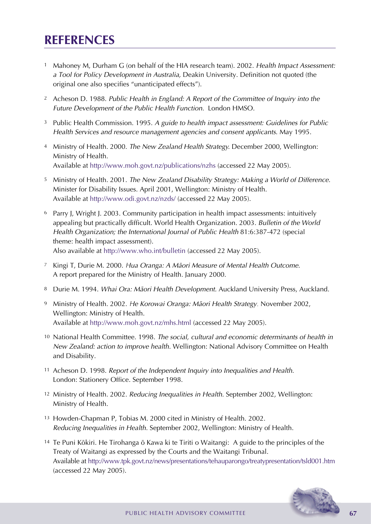## **REFERENCES**

- 1 Mahoney M, Durham G (on behalf of the HIA research team). 2002. Health Impact Assessment: a Tool for Policy Development in Australia, Deakin University. Definition not quoted (the original one also specifies "unanticipated effects").
- 2 Acheson D. 1988. Public Health in England: A Report of the Committee of Inquiry into the Future Development of the Public Health Function. London HMSO.
- 3 Public Health Commission. 1995. A guide to health impact assessment: Guidelines for Public Health Services and resource management agencies and consent applicants. May 1995.
- 4 Ministry of Health. 2000. The New Zealand Health Strategy. December 2000, Wellington: Ministry of Health. Available at http://www.moh.govt.nz/publications/nzhs (accessed 22 May 2005).
- 5 Ministry of Health. 2001. The New Zealand Disability Strategy: Making a World of Difference. Minister for Disability Issues. April 2001, Wellington: Ministry of Health. Available at http://www.odi.govt.nz/nzds/ (accessed 22 May 2005).
- 6 Parry J, Wright J. 2003. Community participation in health impact assessments: intuitively appealing but practically difficult. World Health Organization. 2003. Bulletin of the World Health Organization; the International Journal of Public Health 81:6:387-472 (special theme: health impact assessment). Also available at http://www.who.int/bulletin (accessed 22 May 2005).
- 7 Kingi T, Durie M. 2000. Hua Oranga: A Mäori Measure of Mental Health Outcome. A report prepared for the Ministry of Health. January 2000.
- 8 Durie M. 1994. Whai Ora: Māori Health Development.' Auckland University Press, Auckland.
- 9 Ministry of Health. 2002. He Korowai Oranga: Mäori Health Strategy. November 2002, Wellington: Ministry of Health. Available at http://www.moh.govt.nz/mhs.html (accessed 22 May 2005).
- 10 National Health Committee. 1998. The social, cultural and economic determinants of health in New Zealand: action to improve health. Wellington: National Advisory Committee on Health and Disability.
- 11 Acheson D. 1998. Report of the Independent Inquiry into Inequalities and Health. London: Stationery Office. September 1998.
- 12 Ministry of Health. 2002. Reducing Inequalities in Health. September 2002, Wellington: Ministry of Health.
- 13 Howden-Chapman P, Tobias M. 2000 cited in Ministry of Health. 2002. Reducing Inequalities in Health. September 2002, Wellington: Ministry of Health.
- 14 Te Puni Kökiri. He Tirohanga ö Kawa ki te Tiriti o Waitangi: A guide to the principles of the Treaty of Waitangi as expressed by the Courts and the Waitangi Tribunal. Available at http://www.tpk.govt.nz/news/presentations/tehauparongo/treatypresentation/tsld001.htm (accessed 22 May 2005).